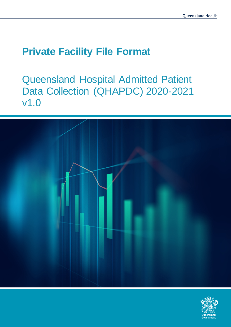# **Private Facility File Format**

Queensland Hospital Admitted Patient Data Collection (QHAPDC) 2020-2021 v1.0



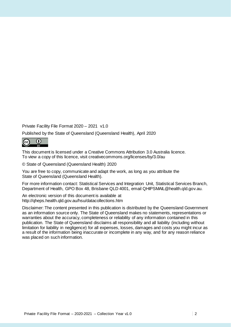Private Facility File Format 2020 – 2021 v1.0

Published by the State of Queensland (Queensland Health), April 2020



This document is licensed under a Creative Commons Attribution 3.0 Australia licence. To view a copy of this licence, visit creativecommons.org/licenses/by/3.0/au

© State of Queensland (Queensland Health) 2020

You are free to copy, communicate and adapt the work, as long as you attribute the State of Queensland (Queensland Health).

For more information contact: Statistical Services and Integration Unit, Statistical Services Branch, Department of Health, GPO Box 48, Brisbane QLD 4001, email QHIPSMAIL@health.qld.gov.au.

An electronic version of this document is available at http://qheps.health.qld.gov.au/hsu/datacollections.htm

Disclaimer: The content presented in this publication is distributed by the Queensland Government as an information source only. The State of Queensland makes no statements, representations or warranties about the accuracy, completeness or reliability of any information contained in this publication. The State of Queensland disclaims all responsibility and all liability (including without limitation for liability in negligence) for all expenses, losses, damages and costs you might incur as a result of the information being inaccurate or incomplete in any way, and for any reason reliance was placed on such information.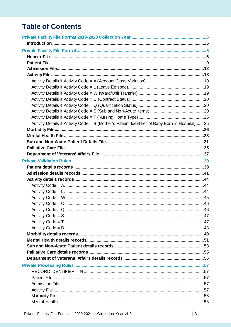# **Table of Contents**

| Activity Details if Activity Code = B (Mother's Patient Identifier of Baby Born in Hospital) 25 |  |
|-------------------------------------------------------------------------------------------------|--|
|                                                                                                 |  |
|                                                                                                 |  |
|                                                                                                 |  |
|                                                                                                 |  |
|                                                                                                 |  |
|                                                                                                 |  |
|                                                                                                 |  |
|                                                                                                 |  |
|                                                                                                 |  |
|                                                                                                 |  |
|                                                                                                 |  |
|                                                                                                 |  |
|                                                                                                 |  |
|                                                                                                 |  |
|                                                                                                 |  |
|                                                                                                 |  |
|                                                                                                 |  |
|                                                                                                 |  |
|                                                                                                 |  |
|                                                                                                 |  |
|                                                                                                 |  |
|                                                                                                 |  |
|                                                                                                 |  |
|                                                                                                 |  |
|                                                                                                 |  |
|                                                                                                 |  |
|                                                                                                 |  |
|                                                                                                 |  |
|                                                                                                 |  |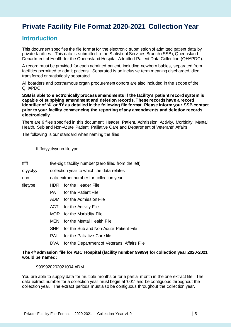# **Private Facility File Format 2020-2021 Collection Year**

### **Introduction**

This document specifies the file format for the electronic submission of admitted patient data by private facilities. This data is submitted to the Statistical Services Branch (SSB), Queensland Department of Health for the Queensland Hospital Admitted Patient Data Collection (QHAPDC).

A record must be provided for each admitted patient, including newborn babies, separated from facilities permitted to admit patients. Separated is an inclusive term meaning discharged, died, transferred or statistically separated.

All boarders and posthumous organ procurement donors are also included in the scope of the QHAPDC.

**SSB is able to electronically process amendments if the facility's patient record system is capable of supplying amendment and deletion records. These records have a record identifier of 'A' or 'D' as detailed in the following file format. Please inform your SSB contact prior to your facility commencing the reporting of any amendments and deletion records electronically.**

There are 9 files specified in this document: Header, Patient, Admission, Activity, Morbidity, Mental Health, Sub and Non-Acute Patient, Palliative Care and Department of Veterans' Affairs.

The following is our standard when naming the files:

#### fffffctyyctyynnn.filetype

- fffff five-digit facility number (zero filled from the left)
- ctyyctyy collection year to which the data relates
- nnn data extract number for collection year
- filetype HDR for the Header File
	- PAT for the Patient File
	- ADM for the Admission File
	- ACT for the Activity File
	- MOR for the Morbidity File
	- MEN for the Mental Health File
	- SNP for the Sub and Non-Acute Patient File
	- PAL for the Palliative Care file
	- DVA for the Department of Veterans' Affairs File

#### **The 4th admission file for ABC Hospital (facility number 99999) for collection year 2020-2021 would be named:**

#### 9999920202021004.ADM

You are able to supply data for multiple months or for a partial month in the one extract file. The data extract number for a collection year must begin at '001' and be contiguous throughout the collection year. The extract periods must also be contiguous throughout the collection year.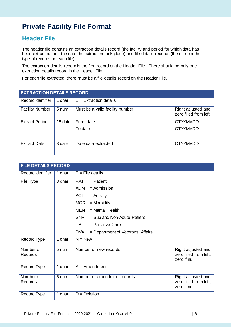# **Private Facility File Format**

## **Header File**

The header file contains an extraction details record (the facility and period for which data has been extracted, and the date the extraction took place) and file details records (the number the type of records on each file).

The extraction details record is the first record on the Header File. There should be only one extraction details record in the Header File.

For each file extracted, there must be a file details record on the Header File.

| <b>EXTRACTION DETAILS RECORD</b> |         |                                 |                                             |  |
|----------------------------------|---------|---------------------------------|---------------------------------------------|--|
| <b>Record Identifier</b>         | 1 char  | $E =$ Extraction details        |                                             |  |
| <b>Facility Number</b>           | 5 num   | Must be a valid facility number | Right adjusted and<br>zero filled from left |  |
| <b>Extract Period</b>            | 16 date | From date                       | <b>CTYYMMDD</b>                             |  |
|                                  |         | To date                         | <b>CTYYMMDD</b>                             |  |
| <b>Extract Date</b>              | 8 date  | Date data extracted             | <b>CTYYMMDD</b>                             |  |

| <b>FILE DETAILS RECORD</b> |        |                                                 |                                                              |  |
|----------------------------|--------|-------------------------------------------------|--------------------------------------------------------------|--|
| <b>Record Identifier</b>   | 1 char | $F =$ File details                              |                                                              |  |
| File Type                  | 3 char | <b>PAT</b><br>$=$ Patient                       |                                                              |  |
|                            |        | ADM<br>$=$ Admission                            |                                                              |  |
|                            |        | <b>ACT</b><br>$=$ Activity                      |                                                              |  |
|                            |        | <b>MOR</b><br>$=$ Morbidity                     |                                                              |  |
|                            |        | <b>MEN</b><br>$=$ Mental Health                 |                                                              |  |
|                            |        | <b>SNP</b><br>$=$ Sub and Non-Acute Patient     |                                                              |  |
|                            |        | <b>PAL</b><br>$=$ Palliative Care               |                                                              |  |
|                            |        | <b>DVA</b><br>= Department of Veterans' Affairs |                                                              |  |
| Record Type                | 1 char | $N = New$                                       |                                                              |  |
| Number of<br>Records       | 5 num  | Number of new records                           | Right adjusted and<br>zero filled from left;<br>zero if null |  |
| Record Type                | 1 char | $A =$ Amendment                                 |                                                              |  |
| Number of<br>Records       | 5 num  | Number of amendment records                     | Right adjusted and<br>zero filled from left;<br>zero if null |  |
| Record Type                | 1 char | $D = Deletion$                                  |                                                              |  |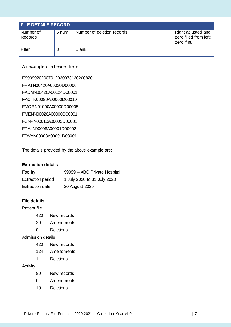| <b>FILE DETAILS RECORD</b> |       |                            |                                                              |  |
|----------------------------|-------|----------------------------|--------------------------------------------------------------|--|
| Number of<br>Records       | 5 num | Number of deletion records | Right adjusted and<br>zero filled from left;<br>zero if null |  |
| Filler                     | 8     | <b>Blank</b>               |                                                              |  |

An example of a header file is:

E99999202007012020073120200820 FPATN00420A00020D00000 FADMN00420A00124D00001 FACTN00080A00000D00010 FMORN01000A00000D00005 FMENN00020A00000D00001 FSNPN00010A00002D00001 FPALN00008A00001D00002 FDVAN00003A00001D00001

The details provided by the above example are:

### **Extraction details**

| Facility                 | 99999 - ABC Private Hospital |
|--------------------------|------------------------------|
| <b>Extraction period</b> | 1 July 2020 to 31 July 2020  |
| <b>Extraction date</b>   | 20 August 2020               |

### **File details**

Patient file

- 420 New records
- 20 Amendments
- 0 Deletions

### Admission details

- 420 New records
- 124 Amendments
- 1 Deletions

#### Activity

- 80 New records
- 0 Amendments
- 10 Deletions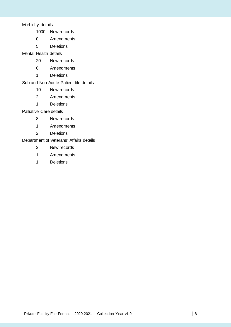Morbidity details

- New records
- Amendments
- Deletions

Mental Health details

- New records
- Amendments
- Deletions

### Sub and Non-Acute Patient file details

- New records
- Amendments
- Deletions

#### Palliative Care details

- New records
- Amendments
- Deletions

### Department of Veterans' Affairs details

- New records
- Amendments
- Deletions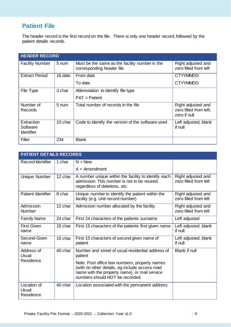## **Patient File**

The header record is the first record on the file. There is only one header record, followed by the patient details records.

| <b>HEADER RECORD</b>                        |         |                                                                             |                                                              |
|---------------------------------------------|---------|-----------------------------------------------------------------------------|--------------------------------------------------------------|
| <b>Facility Number</b>                      | 5 num   | Must be the same as the facility number in the<br>corresponding header file | Right adjusted and<br>zero filled from left                  |
| <b>Extract Period</b>                       | 16 date | From date                                                                   | <b>CTYYMMDD</b>                                              |
|                                             |         | To date                                                                     | <b>CTYYMMDD</b>                                              |
| File Type                                   | 3 char  | Abbreviation to identify file type                                          |                                                              |
|                                             |         | $PAT =$ Patient                                                             |                                                              |
| Number of<br>Records                        | 5 num   | Total number of records in the file                                         | Right adjusted and<br>zero filled from left;<br>zero if null |
| Extraction<br>Software<br><b>Identifier</b> | 10 char | Code to identify the version of the software used                           | Left adjusted, blank<br>if null                              |
| Filler                                      | 234     | <b>Blank</b>                                                                |                                                              |

| <b>PATIENT DETAILS RECORDS</b>    |         |                                                                                                                                                                                     |                                             |
|-----------------------------------|---------|-------------------------------------------------------------------------------------------------------------------------------------------------------------------------------------|---------------------------------------------|
| <b>Record Identifier</b>          | 1 char  | $N = New$                                                                                                                                                                           |                                             |
|                                   |         | $A =$ Amendment                                                                                                                                                                     |                                             |
| Unique Number                     | 12 char | A number unique within the facility to identify each<br>admission. This number is not to be reused,<br>regardless of deletions, etc.                                                | Right adjusted and<br>zero filled from left |
| Patient Identifier                | 8 char  | Unique number to identify the patient within the<br>facility (e.g. Unit record number)                                                                                              | Right adjusted and<br>zero filled from left |
| Admission<br>Number               | 12 char | Admission number allocated by the facility                                                                                                                                          | Right adjusted and<br>zero filled from left |
| <b>Family Name</b>                | 24 char | First 24 characters of the patients surname                                                                                                                                         | Left adjusted                               |
| <b>First Given</b><br>name        | 15 char | First 15 characters of the patients first given name                                                                                                                                | Left adjusted, blank<br>if null             |
| Second Given<br>name              | 15 char | First 15 characters of second given name of<br>patient                                                                                                                              | Left adjusted, blank<br>if null             |
| Address of<br>Usual               | 40 char | Number and street of usual residential address of<br>patient                                                                                                                        | <b>Blank if null</b>                        |
| Residence                         |         | Note: Post office box numbers, property names<br>(with no other details, eg include access road<br>name with the property name), or mail service<br>numbers should NOT be recorded. |                                             |
| Location of<br>Usual<br>Residence | 40 char | Location associated with the permanent address                                                                                                                                      |                                             |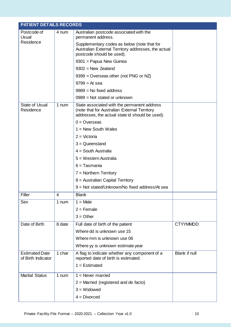| <b>PATIENT DETAILS RECORDS</b>              |        |                                                                                                                                                |                 |
|---------------------------------------------|--------|------------------------------------------------------------------------------------------------------------------------------------------------|-----------------|
| Postcode of<br>Usual                        | 4 num  | Australian postcode associated with the<br>permanent address.                                                                                  |                 |
| Residence                                   |        | Supplementary codes as below (note that for<br>Australian External Territory addresses, the actual<br>postcode should be used).                |                 |
|                                             |        | 9301 = Papua New Guinea                                                                                                                        |                 |
|                                             |        | $9302$ = New Zealand                                                                                                                           |                 |
|                                             |        | $9399 =$ Overseas other (not PNG or NZ)                                                                                                        |                 |
|                                             |        | $9799 = At sea$                                                                                                                                |                 |
|                                             |        | $9989$ = No fixed address                                                                                                                      |                 |
|                                             |        | $0989$ = Not stated or unknown                                                                                                                 |                 |
| <b>State of Usual</b><br>Residence          | 1 num  | State associated with the permanent address<br>(note that for Australian External Territory<br>addresses, the actual state id should be used). |                 |
|                                             |        | $0 =$ Overseas                                                                                                                                 |                 |
|                                             |        | $1 =$ New South Wales                                                                                                                          |                 |
|                                             |        | $2 = Victoria$                                                                                                                                 |                 |
|                                             |        | $3 =$ Queensland                                                                                                                               |                 |
|                                             |        | $4 =$ South Australia                                                                                                                          |                 |
|                                             |        | $5 = Western$ Australia                                                                                                                        |                 |
|                                             |        | $6 =$ Tasmania                                                                                                                                 |                 |
|                                             |        | $7 =$ Northern Territory                                                                                                                       |                 |
|                                             |        | 8 = Australian Capital Territory                                                                                                               |                 |
|                                             |        | 9 = Not stated/Unknown/No fixed address/At sea                                                                                                 |                 |
| Filler                                      | 4      | <b>Blank</b>                                                                                                                                   |                 |
| <b>Sex</b>                                  | 1 num  | $1 = Male$                                                                                                                                     |                 |
|                                             |        | $2 =$ Female                                                                                                                                   |                 |
|                                             |        | $3 = Other$                                                                                                                                    |                 |
| Date of Birth                               | 8 date | Full date of birth of the patient                                                                                                              | <b>CTYYMMDD</b> |
|                                             |        | Where dd is unknown use 15                                                                                                                     |                 |
|                                             |        | Where mm is unknown use 06                                                                                                                     |                 |
|                                             |        | Where yy is unknown estimate year                                                                                                              |                 |
| <b>Estimated Date</b><br>of Birth Indicator | 1 char | A flag to indicate whether any component of a<br>reported date of birth is estimated.                                                          | Blank if null   |
|                                             |        | $1 =$ Estimated                                                                                                                                |                 |
| <b>Marital Status</b>                       | 1 num  | $1 =$ Never married                                                                                                                            |                 |
|                                             |        | $2$ = Married (registered and de facto)                                                                                                        |                 |
|                                             |        | $3 =$ Widowed                                                                                                                                  |                 |
|                                             |        | $4 = Divorced$                                                                                                                                 |                 |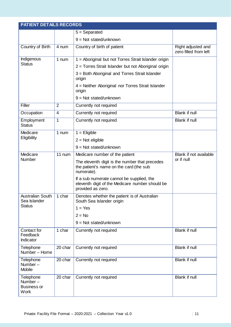| <b>PATIENT DETAILS RECORDS</b>                               |                |                                                                                                                   |                                             |
|--------------------------------------------------------------|----------------|-------------------------------------------------------------------------------------------------------------------|---------------------------------------------|
|                                                              |                | $5 =$ Separated                                                                                                   |                                             |
|                                                              |                | $9 = Not stated/unknown$                                                                                          |                                             |
| Country of Birth                                             | 4 num          | Country of birth of patient                                                                                       | Right adjusted and<br>zero filled from left |
| Indigenous                                                   | 1 num          | 1 = Aboriginal but not Torres Strait Islander origin                                                              |                                             |
| <b>Status</b>                                                |                | 2 = Torres Strait Islander but not Aboriginal origin                                                              |                                             |
|                                                              |                | 3 = Both Aboriginal and Torres Strait Islander<br>origin                                                          |                                             |
|                                                              |                | 4 = Neither Aboriginal nor Torres Strait Islander<br>origin                                                       |                                             |
|                                                              |                | $9 = Not stated/unknown$                                                                                          |                                             |
| Filler                                                       | $\overline{2}$ | Currently not required                                                                                            |                                             |
| Occupation                                                   | $\overline{4}$ | Currently not required                                                                                            | Blank if null                               |
| Employment<br><b>Status</b>                                  | 1              | Currently not required                                                                                            | Blank if null                               |
| Medicare                                                     | 1 num          | $1 =$ Eligible                                                                                                    |                                             |
| Eligibility                                                  |                | $2 = Not$ eligible                                                                                                |                                             |
|                                                              |                | $9 = Not stated/unknown$                                                                                          |                                             |
| Medicare                                                     | 11 num         | Medicare number of the patient                                                                                    | Blank if not available                      |
| Number                                                       |                | The eleventh digit is the number that precedes<br>the patient's name on the card (the sub<br>numerate).           | or if null                                  |
|                                                              |                | If a sub numerate cannot be supplied, the<br>eleventh digit of the Medicare number should be<br>provided as zero. |                                             |
| Australian South<br>Sea Islander                             | 1 char         | Denotes whether the patient is of Australian<br>South Sea Islander origin                                         |                                             |
| <b>Status</b>                                                |                | $1 = Yes$                                                                                                         |                                             |
|                                                              |                | $2 = No$                                                                                                          |                                             |
|                                                              |                | $9 = Not stated/unknown$                                                                                          |                                             |
| Contact for<br>Feedback<br>Indicator                         | 1 char         | Currently not required                                                                                            | Blank if null                               |
| Telephone<br>Number - Home                                   | 20 char        | Currently not required                                                                                            | Blank if null                               |
| Telephone<br>Number-<br><b>Mobile</b>                        | 20 char        | Currently not required                                                                                            | Blank if null                               |
| Telephone<br>Number $-$<br><b>Business or</b><br><b>Work</b> | 20 char        | Currently not required                                                                                            | Blank if null                               |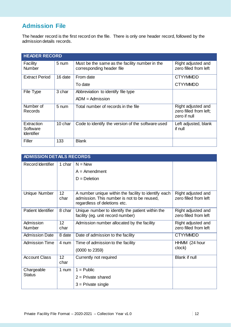# **Admission File**

The header record is the first record on the file. There is only one header record, followed by the admission details records.

| <b>HEADER RECORD</b>                        |                 |                                                                             |                                                              |
|---------------------------------------------|-----------------|-----------------------------------------------------------------------------|--------------------------------------------------------------|
| Facility<br><b>Number</b>                   | 5 num           | Must be the same as the facility number in the<br>corresponding header file | Right adjusted and<br>zero filled from left                  |
| <b>Extract Period</b>                       | 16 date         | From date                                                                   | <b>CTYYMMDD</b>                                              |
|                                             |                 | To date                                                                     | <b>CTYYMMDD</b>                                              |
| File Type                                   | 3 char          | Abbreviation to identify file type                                          |                                                              |
|                                             |                 | $ADM =$ Admission                                                           |                                                              |
| Number of<br>Records                        | $5 \text{ num}$ | Total number of records in the file                                         | Right adjusted and<br>zero filled from left;<br>zero if null |
| Extraction<br>Software<br><b>Identifier</b> | 10 char         | Code to identify the version of the software used                           | Left adjusted, blank<br>if null                              |
| Filler                                      | 133             | <b>Blank</b>                                                                |                                                              |

| <b>ADMISSION DETAILS RECORDS</b> |                         |                                                                                                                                     |                                             |
|----------------------------------|-------------------------|-------------------------------------------------------------------------------------------------------------------------------------|---------------------------------------------|
| Record Identifier                | 1 char                  | $N = New$                                                                                                                           |                                             |
|                                  |                         | $A =$ Amendment                                                                                                                     |                                             |
|                                  |                         | $D = Deletion$                                                                                                                      |                                             |
|                                  |                         |                                                                                                                                     |                                             |
| Unique Number                    | 12 <sub>2</sub><br>char | A number unique within the facility to identify each<br>admission. This number is not to be reused,<br>regardless of deletions etc. | Right adjusted and<br>zero filled from left |
| Patient Identifier               | 8 char                  | Unique number to identify the patient within the<br>facility (eg. unit record number)                                               | Right adjusted and<br>zero filled from left |
| Admission<br><b>Number</b>       | 12 <sup>2</sup><br>char | Admission number allocated by the facility                                                                                          | Right adjusted and<br>zero filled from left |
| <b>Admission Date</b>            | 8 date                  | Date of admission to the facility                                                                                                   | <b>CTYYMMDD</b>                             |
| <b>Admission Time</b>            | 4 num                   | Time of admission to the facility                                                                                                   | HHMM (24 hour                               |
|                                  |                         | (0000 to 2359)                                                                                                                      | clock)                                      |
| <b>Account Class</b>             | 12 <sub>2</sub><br>char | Currently not required                                                                                                              | Blank if null                               |
| Chargeable                       | 1 num                   | $1 =$ Public                                                                                                                        |                                             |
| <b>Status</b>                    |                         | $2$ = Private shared                                                                                                                |                                             |
|                                  |                         | $3$ = Private single                                                                                                                |                                             |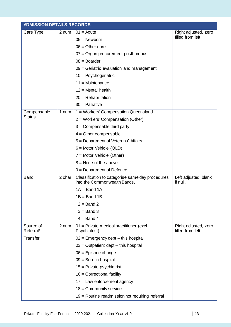| <b>ADMISSION DETAILS RECORDS</b> |        |                                                                                  |                                          |  |
|----------------------------------|--------|----------------------------------------------------------------------------------|------------------------------------------|--|
| Care Type                        | 2 num  | $01 = Acute$                                                                     | Right adjusted, zero                     |  |
|                                  |        | $05 =$ Newborn                                                                   | filled from left                         |  |
|                                  |        | $06 =$ Other care                                                                |                                          |  |
|                                  |        | $07 =$ Organ procurement-posthumous                                              |                                          |  |
|                                  |        | $08 =$ Boarder                                                                   |                                          |  |
|                                  |        | $09$ = Geriatric evaluation and management                                       |                                          |  |
|                                  |        | $10 =$ Psychogeriatric                                                           |                                          |  |
|                                  |        | $11 =$ Maintenance                                                               |                                          |  |
|                                  |        | $12$ = Mental health                                                             |                                          |  |
|                                  |        | $20 =$ Rehabilitation                                                            |                                          |  |
|                                  |        | $30 =$ Palliative                                                                |                                          |  |
| Compensable                      | 1 num  | 1 = Workers' Compensation Queensland                                             |                                          |  |
| <b>Status</b>                    |        | $2 =$ Workers' Compensation (Other)                                              |                                          |  |
|                                  |        | $3 =$ Compensable third party                                                    |                                          |  |
|                                  |        | $4 =$ Other compensable                                                          |                                          |  |
|                                  |        | 5 = Department of Veterans' Affairs                                              |                                          |  |
|                                  |        | $6 =$ Motor Vehicle (QLD)                                                        |                                          |  |
|                                  |        | $7 =$ Motor Vehicle (Other)                                                      |                                          |  |
|                                  |        | $8 =$ None of the above                                                          |                                          |  |
|                                  |        | $9 = Department of Defense$                                                      |                                          |  |
| <b>Band</b>                      | 2 char | Classification to categorise same day procedures<br>into the Commonwealth Bands. | Left adjusted, blank<br>if null.         |  |
|                                  |        | $1A = Band 1A$                                                                   |                                          |  |
|                                  |        | $1B = Band 1B$                                                                   |                                          |  |
|                                  |        | $2 =$ Band 2                                                                     |                                          |  |
|                                  |        | $3 =$ Band 3                                                                     |                                          |  |
|                                  |        | $4 =$ Band 4                                                                     |                                          |  |
| Source of<br>Referral/           | 2 num  | 01 = Private medical practitioner (excl.<br>Psychiatrist)                        | Right adjusted, zero<br>filled from left |  |
| Transfer                         |        | $02$ = Emergency dept – this hospital                                            |                                          |  |
|                                  |        | $03$ = Outpatient dept – this hospital                                           |                                          |  |
|                                  |        | $06$ = Episode change                                                            |                                          |  |
|                                  |        | $09 =$ Born in hospital                                                          |                                          |  |
|                                  |        | $15$ = Private psychiatrist                                                      |                                          |  |
|                                  |        | $16$ = Correctional facility                                                     |                                          |  |
|                                  |        | $17 =$ Law enforcement agency                                                    |                                          |  |
|                                  |        | $18 =$ Community service                                                         |                                          |  |
|                                  |        | 19 = Routine readmission not requiring referral                                  |                                          |  |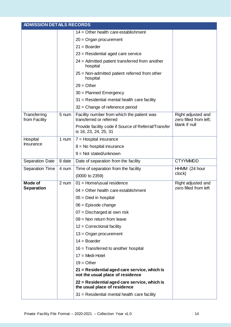| <b>ADMISSION DETAILS RECORDS</b> |        |                                                                                  |                                              |
|----------------------------------|--------|----------------------------------------------------------------------------------|----------------------------------------------|
|                                  |        | $14 =$ Other health care establishment                                           |                                              |
|                                  |        | $20 =$ Organ procurement                                                         |                                              |
|                                  |        | $21 = Board$                                                                     |                                              |
|                                  |        | $23$ = Residential aged care service                                             |                                              |
|                                  |        | 24 = Admitted patient transferred from another<br>hospital                       |                                              |
|                                  |        | $25$ = Non-admitted patient referred from other<br>hospital                      |                                              |
|                                  |        | $29 = Other$                                                                     |                                              |
|                                  |        | 30 = Planned Emergency                                                           |                                              |
|                                  |        | 31 = Residential mental health care facility                                     |                                              |
|                                  |        | $32$ = Change of reference period                                                |                                              |
| Transferring<br>from Facility    | 5 num  | Facility number from which the patient was<br>transferred or referred            | Right adjusted and<br>zero filled from left; |
|                                  |        | Provide facility code if Source of Referral/Transfer<br>is 16, 23, 24, 25, 31    | blank if null                                |
| Hospital                         | 1 num  | $7 =$ Hospital insurance                                                         |                                              |
| Insurance                        |        | $8 =$ No hospital insurance                                                      |                                              |
|                                  |        | $9 = Not stated/unknown$                                                         |                                              |
| Separation Date                  | 8 date | Date of separation from the facility                                             | <b>CTYYMMDD</b>                              |
| Separation Time                  | 4 num  | Time of separation from the facility                                             | HHMM (24 hour                                |
|                                  |        | (0000 to 2359)                                                                   | clock)                                       |
| <b>Mode of</b>                   | 2 num  | $01 =$ Home/usual residence                                                      | Right adjusted and                           |
| <b>Separation</b>                |        | $04 =$ Other health care establishment                                           | zero filled from left                        |
|                                  |        | $05 =$ Died in hospital                                                          |                                              |
|                                  |        | $06$ = Episode change                                                            |                                              |
|                                  |        | 07 = Discharged at own risk                                                      |                                              |
|                                  |        | $09 =$ Non return from leave                                                     |                                              |
|                                  |        | $12$ = Correctional facility                                                     |                                              |
|                                  |        | $13 =$ Organ procurement                                                         |                                              |
|                                  |        | $14 =$ Boarder                                                                   |                                              |
|                                  |        | $16$ = Transferred to another hospital                                           |                                              |
|                                  |        | $17 = Medi-Hotel$                                                                |                                              |
|                                  |        | $19 =$ Other                                                                     |                                              |
|                                  |        | 21 = Residential aged care service, which is<br>not the usual place of residence |                                              |
|                                  |        | 22 = Residential aged care service, which is<br>the usual place of residence     |                                              |
|                                  |        | $31$ = Residential mental health care facility                                   |                                              |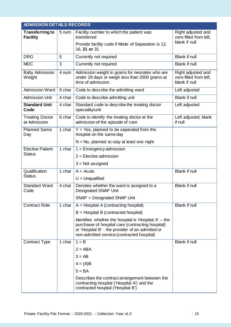|                                           | <b>ADMISSION DETAILS RECORDS</b> |                                                                                                                                                                                                                |                                                               |  |  |  |
|-------------------------------------------|----------------------------------|----------------------------------------------------------------------------------------------------------------------------------------------------------------------------------------------------------------|---------------------------------------------------------------|--|--|--|
| <b>Transferring to</b><br><b>Facility</b> | 5 num                            | Facility number to which the patient was<br>transferred                                                                                                                                                        | Right adjusted and<br>zero filled from left,<br>blank if null |  |  |  |
|                                           |                                  | Provide facility code if Mode of Separation is 12,<br>16, 21 or 31                                                                                                                                             |                                                               |  |  |  |
| <b>DRG</b>                                | 5                                | Currently not required                                                                                                                                                                                         | Blank if null                                                 |  |  |  |
| <b>MDC</b>                                | 3                                | Currently not required                                                                                                                                                                                         | <b>Blank if null</b>                                          |  |  |  |
| <b>Baby Admission</b><br>Weight           | 4 num                            | Admission weight in grams for neonates who are<br>under 29 days or weigh less than 2500 grams at<br>time of admission.                                                                                         | Right adjusted and<br>zero filled from left,<br>blank if null |  |  |  |
| Admission Ward                            | 6 char                           | Code to describe the admitting ward                                                                                                                                                                            | Left adjusted                                                 |  |  |  |
| <b>Admission Unit</b>                     | 4 char                           | Code to describe admitting unit                                                                                                                                                                                | <b>Blank if null</b>                                          |  |  |  |
| <b>Standard Unit</b><br>Code              | $4$ char                         | Standard code to describe the treating doctor<br>speciality/unit                                                                                                                                               | Left adjusted                                                 |  |  |  |
| <b>Treating Doctor</b><br>at Admission    | 6 char                           | Code to identify the treating doctor at the<br>admission of the episode of care                                                                                                                                | Left adjusted, blank<br>if null                               |  |  |  |
| <b>Planned Same</b><br>Day                | 1 char                           | $Y = Yes$ , planned to be separated from the<br>hospital on the same day                                                                                                                                       |                                                               |  |  |  |
|                                           |                                  | $N = No$ , planned to stay at least one night                                                                                                                                                                  |                                                               |  |  |  |
| Elective Patient                          | 1 char                           | $1 =$ Emergency admission                                                                                                                                                                                      |                                                               |  |  |  |
| <b>Status</b>                             |                                  | $2$ = Elective admission                                                                                                                                                                                       |                                                               |  |  |  |
|                                           |                                  | $3 = Not$ assigned                                                                                                                                                                                             |                                                               |  |  |  |
| Qualification                             | 1 char                           | $A = Acute$                                                                                                                                                                                                    | <b>Blank if null</b>                                          |  |  |  |
| <b>Status</b>                             |                                  | $U =$ Unqualified                                                                                                                                                                                              |                                                               |  |  |  |
| Standard Ward<br>Code                     | 4 char                           | Denotes whether the ward is assigned to a<br><b>Designated SNAP Unit</b>                                                                                                                                       | <b>Blank if null</b>                                          |  |  |  |
|                                           |                                  | SNAP = Designated SNAP Unit                                                                                                                                                                                    |                                                               |  |  |  |
| <b>Contract Role</b>                      | 1 char                           | $A =$ Hospital A (contracting hospital)                                                                                                                                                                        | Blank if null                                                 |  |  |  |
|                                           |                                  | $B =$ Hospital B (contracted hospital)                                                                                                                                                                         |                                                               |  |  |  |
|                                           |                                  | Identifies whether the hospital is 'Hospital $A'$ – the<br>purchaser of hospital care (contracting hospital)<br>or 'Hospital B' - the provider of an admitted or<br>non-admitted service (contracted hospital) |                                                               |  |  |  |
| <b>Contract Type</b>                      | 1 char                           | $1 = B$                                                                                                                                                                                                        | Blank if null                                                 |  |  |  |
|                                           |                                  | $2 = ABA$                                                                                                                                                                                                      |                                                               |  |  |  |
|                                           |                                  | $3 = AB$                                                                                                                                                                                                       |                                                               |  |  |  |
|                                           |                                  | $4 = (A)B$                                                                                                                                                                                                     |                                                               |  |  |  |
|                                           |                                  | $5 = BA$                                                                                                                                                                                                       |                                                               |  |  |  |
|                                           |                                  | Describes the contract arrangement between the<br>contracting hospital ('Hospital A') and the<br>contracted hospital ('Hospital B')                                                                            |                                                               |  |  |  |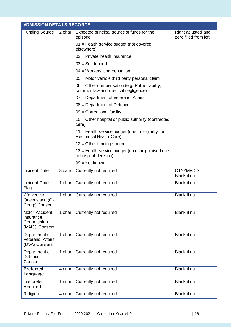|                                                                    | <b>ADMISSION DETAILS RECORDS</b> |                                                                                         |                                             |  |  |
|--------------------------------------------------------------------|----------------------------------|-----------------------------------------------------------------------------------------|---------------------------------------------|--|--|
| <b>Funding Source</b>                                              | 2 char                           | Expected principal source of funds for the<br>episode.                                  | Right adjusted and<br>zero filled from left |  |  |
|                                                                    |                                  | 01 = Health service budget (not covered<br>elsewhere)                                   |                                             |  |  |
|                                                                    |                                  | $02$ = Private health insurance                                                         |                                             |  |  |
|                                                                    |                                  | $03 = Self$ -funded                                                                     |                                             |  |  |
|                                                                    |                                  | $04 = W$ orkers' compensation                                                           |                                             |  |  |
|                                                                    |                                  | $05$ = Motor vehicle third party personal claim                                         |                                             |  |  |
|                                                                    |                                  | $06 =$ Other compensation (e.g. Public liability,<br>common law and medical negligence) |                                             |  |  |
|                                                                    |                                  | 07 = Department of Veterans' Affairs                                                    |                                             |  |  |
|                                                                    |                                  | $08 = Department of Defense$                                                            |                                             |  |  |
|                                                                    |                                  | $09$ = Correctional facility                                                            |                                             |  |  |
|                                                                    |                                  | $10 =$ Other hospital or public authority (contracted<br>care)                          |                                             |  |  |
|                                                                    |                                  | 11 = Health service budget (due to eligibility for<br>Reciprocal Health Care)           |                                             |  |  |
|                                                                    |                                  | $12 =$ Other funding source                                                             |                                             |  |  |
|                                                                    |                                  | 13 = Health service budget (no charge raised due<br>to hospital decision)               |                                             |  |  |
|                                                                    |                                  | $99 = Not known$                                                                        |                                             |  |  |
| <b>Incident Date</b>                                               | 8 date                           | Currently not required                                                                  | <b>CTYYMMDD</b><br>Blank if null            |  |  |
| <b>Incident Date</b><br>Flag                                       | 1 char                           | Currently not required                                                                  | <b>Blank if null</b>                        |  |  |
| Workcover<br>Queensland (Q-<br>Comp) Consent                       |                                  | 1 char   Currently not required                                                         | Blank if null                               |  |  |
| Motor Accident<br><b>Insurance</b><br>Commission<br>(MAIC) Consent | 1 char                           | Currently not required                                                                  | Blank if null                               |  |  |
| Department of<br>Veterans' Affairs<br>(DVA) Consent                | 1 char                           | Currently not required                                                                  | Blank if null                               |  |  |
| Department of<br>Defence<br>Consent                                | 1 char                           | Currently not required                                                                  | Blank if null                               |  |  |
| <b>Preferred</b><br>Language                                       | 4 num                            | Currently not required                                                                  | Blank if null                               |  |  |
| Interpreter<br>Required                                            | 1 num                            | Currently not required                                                                  | Blank if null                               |  |  |
| Religion                                                           | 4 num                            | Currently not required                                                                  | Blank if null                               |  |  |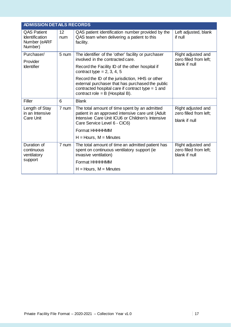| <b>ADMISSION DETAILS RECORDS</b>                                       |           |                                                                                                                                                                                                 |                                                               |
|------------------------------------------------------------------------|-----------|-------------------------------------------------------------------------------------------------------------------------------------------------------------------------------------------------|---------------------------------------------------------------|
| <b>QAS Patient</b><br><b>Identification</b><br>Number (eARF<br>Number) | 12<br>num | QAS patient identification number provided by the<br>QAS team when delivering a patient to this<br>facility.                                                                                    | Left adjusted, blank<br>if null                               |
| Purchaser/<br>Provider                                                 | 5 num     | The identifier of the 'other' facility or purchaser<br>involved in the contracted care.                                                                                                         | Right adjusted and<br>zero filled from left;                  |
| <b>Identifier</b>                                                      |           | Record the Facility ID of the other hospital if<br>contract type = $2, 3, 4, 5$                                                                                                                 | blank if null                                                 |
|                                                                        |           | Record the ID of the jurisdiction, HHS or other<br>external purchaser that has purchased the public<br>contracted hospital care if contract type $= 1$ and<br>contract role = $B$ (Hospital B). |                                                               |
| Filler                                                                 | 6         | <b>Blank</b>                                                                                                                                                                                    |                                                               |
| Length of Stay<br>in an Intensive                                      | 7 num     | The total amount of time spent by an admitted<br>patient in an approved intensive care unit (Adult                                                                                              | Right adjusted and<br>zero filled from left;                  |
| Care Unit                                                              |           | Intensive Care Unit ICU6 or Children's Intensive<br>Care Service Level 6 - CIC6)                                                                                                                | blank if null                                                 |
|                                                                        |           | Format HHHHHMM                                                                                                                                                                                  |                                                               |
|                                                                        |           | $H =$ Hours, $M =$ Minutes                                                                                                                                                                      |                                                               |
| Duration of<br>continuous<br>ventilatory                               | 7 num     | The total amount of time an admitted patient has<br>spent on continuous ventilatory support (ie<br>invasive ventilation)                                                                        | Right adjusted and<br>zero filled from left;<br>blank if null |
| support                                                                |           | Format HHHHHMM                                                                                                                                                                                  |                                                               |
|                                                                        |           | $H =$ Hours, M = Minutes                                                                                                                                                                        |                                                               |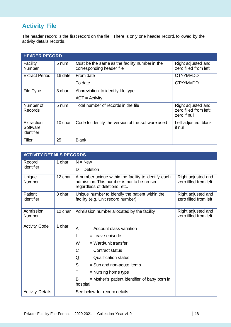# **Activity File**

The header record is the first record on the file. There is only one header record, followed by the activity details records.

| <b>HEADER RECORD</b>                        |         |                                                                             |                                                              |  |
|---------------------------------------------|---------|-----------------------------------------------------------------------------|--------------------------------------------------------------|--|
| Facility<br>Number                          | 5 num   | Must be the same as the facility number in the<br>corresponding header file | Right adjusted and<br>zero filled from left                  |  |
| <b>Extract Period</b>                       | 16 date | From date                                                                   | <b>CTYYMMDD</b>                                              |  |
|                                             |         | To date                                                                     | <b>CTYYMMDD</b>                                              |  |
| File Type                                   | 3 char  | Abbreviation to identify file type                                          |                                                              |  |
|                                             |         | $ACT = Activity$                                                            |                                                              |  |
| Number of<br>Records                        | 5 num   | Total number of records in the file                                         | Right adjusted and<br>zero filled from left;<br>zero if null |  |
| Extraction<br>Software<br><b>Identifier</b> | 10 char | Code to identify the version of the software used                           | Left adjusted, blank<br>if null                              |  |
| Filler                                      | 25      | <b>Blank</b>                                                                |                                                              |  |

| <b>ACTIVITY DETAILS RECORDS</b> |         |                                                                                                                                      |                                             |  |
|---------------------------------|---------|--------------------------------------------------------------------------------------------------------------------------------------|---------------------------------------------|--|
| Record                          | 1 char  | $N = New$                                                                                                                            |                                             |  |
| <b>Identifier</b>               |         | $D = Deletion$                                                                                                                       |                                             |  |
| Unique<br>Number                | 12 char | A number unique within the facility to identify each<br>admission. This number is not to be reused,<br>regardless of deletions, etc. | Right adjusted and<br>zero filled from left |  |
| Patient<br><b>Identifier</b>    | 8 char  | Unique number to identify the patient within the<br>facility (e.g. Unit record number)                                               | Right adjusted and<br>zero filled from left |  |
| Admission<br><b>Number</b>      | 12 char | Admission number allocated by the facility                                                                                           | Right adjusted and<br>zero filled from left |  |
| <b>Activity Code</b>            | 1 char  | A<br>$=$ Account class variation                                                                                                     |                                             |  |
|                                 |         | = Leave episode<br>L                                                                                                                 |                                             |  |
|                                 |         | W<br>$=$ Ward/unit transfer                                                                                                          |                                             |  |
|                                 |         | C<br>$=$ Contract status                                                                                                             |                                             |  |
|                                 |         | $=$ Qualification status<br>Q                                                                                                        |                                             |  |
|                                 |         | S<br>$=$ Sub and non-acute items                                                                                                     |                                             |  |
|                                 |         | T<br>$=$ Nursing home type                                                                                                           |                                             |  |
|                                 |         | B<br>= Mother's patient identifier of baby born in<br>hospital                                                                       |                                             |  |
| <b>Activity Details</b>         |         | See below for record details                                                                                                         |                                             |  |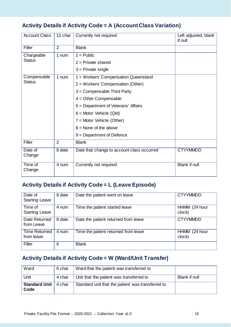## **Activity Details if Activity Code = A (Account Class Variation)**

| <b>Account Class</b> | 12 char        | Currently not required                     | Left adjusted, blank<br>if null |
|----------------------|----------------|--------------------------------------------|---------------------------------|
| Filler               | $\overline{2}$ | <b>Blank</b>                               |                                 |
| Chargeable           | 1 num          | $1 =$ Public                               |                                 |
| <b>Status</b>        |                | $2$ = Private shared                       |                                 |
|                      |                | $3$ = Private single                       |                                 |
| Compensable          | 1 num          | 1 = Workers' Compensation Queensland       |                                 |
| <b>Status</b>        |                | 2 = Workers' Compensation (Other)          |                                 |
|                      |                | $3 =$ Compensable Third Party              |                                 |
|                      |                | $4 =$ Other Compensable                    |                                 |
|                      |                | 5 = Department of Veterans' Affairs        |                                 |
|                      |                | $6 =$ Motor Vehicle (Qld)                  |                                 |
|                      |                | $7 =$ Motor Vehicle (Other)                |                                 |
|                      |                | $8 =$ None of the above                    |                                 |
|                      |                | $9 = Department of Defense$                |                                 |
| Filler               | $\overline{2}$ | <b>Blank</b>                               |                                 |
| Date of<br>Change    | 8 date         | Date that change to account class occurred | <b>CTYYMMDD</b>                 |
| Time of<br>Change    | 4 num          | Currently not required                     | Blank if null                   |

## **Activity Details if Activity Code = L (Leave Episode)**

| Date of<br><b>Starting Leave</b>   | 8 date | Date the patient went on leave       | <b>CTYYMMDD</b>         |
|------------------------------------|--------|--------------------------------------|-------------------------|
| Time of<br><b>Starting Leave</b>   | 4 num  | Time the patient started leave       | HHMM (24 hour<br>clock) |
| Date Returned<br>from Leave        | 8 date | Date the patient returned from leave | <b>CTYYMMDD</b>         |
| <b>Time Returned</b><br>from leave | 4 num  | Time the patient returned from leave | HHMM (24 hour<br>clock) |
| Filler                             | 6      | <b>Blank</b>                         |                         |

## **Activity Details if Activity Code = W (Ward/Unit Transfer)**

| Ward                         | 6 char | Ward that the patient was transferred to          |               |
|------------------------------|--------|---------------------------------------------------|---------------|
| Unit                         | 4 char | Unit that the patient was transferred to          | Blank if null |
| <b>Standard Unit</b><br>Code | 4 char | Standard unit that the patient was transferred to |               |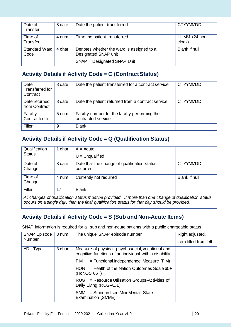| Date of<br>Transfer   | 8 date | Date the patient transferred                                      | <b>CTYYMMDD</b>         |
|-----------------------|--------|-------------------------------------------------------------------|-------------------------|
| Time of<br>Transfer   | 4 num  | Time the patient transferred                                      | HHMM (24 hour<br>clock) |
| Standard Ward<br>Code | 4 char | Denotes whether the ward is assigned to a<br>Designated SNAP unit | Blank if null           |
|                       |        | SNAP = Designated SNAP Unit                                       |                         |

## **Activity Details if Activity Code = C (Contract Status)**

| Date<br>Transferred for<br>Contract | 8 date | Date the patient transferred for a contract service                   | <b>CTYYMMDD</b> |
|-------------------------------------|--------|-----------------------------------------------------------------------|-----------------|
| Date returned<br>from Contract      | 8 date | Date the patient returned from a contract service                     | <b>CTYYMMDD</b> |
| Facility<br>Contracted to           | 5 num  | Facility number for the facility performing the<br>contracted service |                 |
| Filler                              | 9      | <b>Blank</b>                                                          |                 |

## **Activity Details if Activity Code = Q (Qualification Status)**

| Qualification                                                                                         | 1 char | $A = Acute$                                  |                 |  |
|-------------------------------------------------------------------------------------------------------|--------|----------------------------------------------|-----------------|--|
| <b>Status</b>                                                                                         |        | $U =$ Unqualified                            |                 |  |
| Date of                                                                                               | 8 date | Date that the change of qualification status | <b>CTYYMMDD</b> |  |
| Change                                                                                                |        | occurred                                     |                 |  |
| Time of                                                                                               | 4 num  | Currently not required                       | Blank if null   |  |
| Change                                                                                                |        |                                              |                 |  |
| Filler                                                                                                | 17     | <b>Blank</b>                                 |                 |  |
| All changes of qualification status must be provided. If more than one change of qualification status |        |                                              |                 |  |
| occurs on a single day, then the final qualification status for that day should be provided.          |        |                                              |                 |  |

## **Activity Details if Activity Code = S (Sub and Non-Acute Items)**

SNAP information is required for all sub and non-acute patients with a public chargeable status.

| <b>SNAP Episode</b> | 3 num  | The unique SNAP episode number                                                                              | Right adjusted,       |
|---------------------|--------|-------------------------------------------------------------------------------------------------------------|-----------------------|
| <b>Number</b>       |        |                                                                                                             | zero filled from left |
| ADL Type            | 3 char | Measure of physical, psychosocial, vocational and<br>cognitive functions of an individual with a disability |                       |
|                     |        | $=$ Functional Independence Measure (FIM)<br><b>FIM</b>                                                     |                       |
|                     |        | $=$ Health of the Nation Outcomes Scale 65+<br>HON.<br>$(HoNOS 65+)$                                        |                       |
|                     |        | RUG = Resource Utilisation Groups-Activities of<br>Daily Living (RUG-ADL)                                   |                       |
|                     |        | SMM = Standardised Mini-Mental State<br>Examination (SMME)                                                  |                       |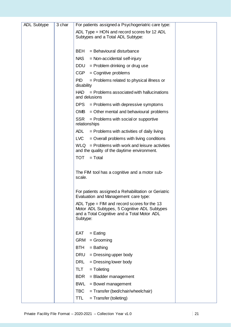| <b>ADL Subtype</b> | 3 char | For patients assigned a Psychogeriatric care type:                                                                                                       |
|--------------------|--------|----------------------------------------------------------------------------------------------------------------------------------------------------------|
|                    |        | ADL Type = $HON$ and record scores for 12 ADL<br>Subtypes and a Total ADL Subtype:                                                                       |
|                    |        | BEH<br>= Behavioural disturbance                                                                                                                         |
|                    |        |                                                                                                                                                          |
|                    |        | <b>NAS</b><br>$=$ Non-accidental self-injury                                                                                                             |
|                    |        | <b>DDU</b><br>= Problem drinking or drug use                                                                                                             |
|                    |        | CGP<br>$=$ Cognitive problems                                                                                                                            |
|                    |        | <b>PID</b><br>= Problems related to physical illness or<br>disability                                                                                    |
|                    |        | $=$ Problems associated with hallucinations<br>HAD<br>and delusions                                                                                      |
|                    |        | DPS<br>= Problems with depressive symptoms                                                                                                               |
|                    |        | OMB.<br>= Other mental and behavioural problems                                                                                                          |
|                    |        | <b>SSR</b><br>$=$ Problems with social or supportive<br>relationships                                                                                    |
|                    |        | $=$ Problems with activities of daily living<br>ADL.                                                                                                     |
|                    |        | LVC<br>$=$ Overall problems with living conditions                                                                                                       |
|                    |        | $WLQ =$ Problems with work and leisure activities<br>and the quality of the daytime environment.                                                         |
|                    |        | <b>TOT</b><br>$=$ Total                                                                                                                                  |
|                    |        |                                                                                                                                                          |
|                    |        | The FIM tool has a cognitive and a motor sub-<br>scale.                                                                                                  |
|                    |        | For patients assigned a Rehabilitation or Geriatric<br>Evaluation and Management care type:                                                              |
|                    |        | ADL Type = $FIM$ and record scores for the 13<br>Motor ADL Subtypes, 5 Cognitive ADL Subtypes<br>and a Total Cognitive and a Total Motor ADL<br>Subtype: |
|                    |        |                                                                                                                                                          |
|                    |        | <b>EAT</b><br>$=$ Eating<br><b>GRM</b><br>$=$ Grooming                                                                                                   |
|                    |        |                                                                                                                                                          |
|                    |        | BTH<br>$=$ Bathing                                                                                                                                       |
|                    |        | DRU<br>= Dressing upper body                                                                                                                             |
|                    |        | DRL<br>= Dressing lower body                                                                                                                             |
|                    |        | TLT<br>$=$ Toileting                                                                                                                                     |
|                    |        | <b>BDR</b><br>= Bladder management                                                                                                                       |
|                    |        | <b>BWL</b><br>$=$ Bowel management                                                                                                                       |
|                    |        | TBC<br>= Transfer (bed/chair/wheelchair)                                                                                                                 |
|                    |        | TTL<br>$=$ Transfer (toileting)                                                                                                                          |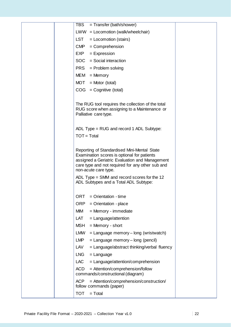| <b>TBS</b><br>= Transfer (bath/shower)                                                                                                                                                                                   |
|--------------------------------------------------------------------------------------------------------------------------------------------------------------------------------------------------------------------------|
| $LWW = Locomotion (walk/wheelchair)$                                                                                                                                                                                     |
| LST<br>$=$ Locomotion (stairs)                                                                                                                                                                                           |
| <b>CMP</b><br>= Comprehension                                                                                                                                                                                            |
| <b>EXP</b><br>= Expression                                                                                                                                                                                               |
| SOC<br>= Social interaction                                                                                                                                                                                              |
| <b>PRS</b><br>= Problem solving                                                                                                                                                                                          |
| MEM<br>$=$ Memory                                                                                                                                                                                                        |
| <b>MOT</b><br>$=$ Motor (total)                                                                                                                                                                                          |
| $COG = Cognitive (total)$                                                                                                                                                                                                |
|                                                                                                                                                                                                                          |
| The RUG tool requires the collection of the total<br>RUG score when assigning to a Maintenance or<br>Palliative care type.                                                                                               |
| ADL Type = RUG and record 1 ADL Subtype:                                                                                                                                                                                 |
| $TOT = Total$                                                                                                                                                                                                            |
|                                                                                                                                                                                                                          |
| Reporting of Standardised Mini-Mental State<br>Examination scores is optional for patients<br>assigned a Geriatric Evaluation and Management<br>care type and not required for any other sub and<br>non-acute care type. |
| ADL Type = $SMM$ and record scores for the 12<br>ADL Subtypes and a Total ADL Subtype:                                                                                                                                   |
| <b>ORT</b><br>$=$ Orientation - time                                                                                                                                                                                     |
| <b>ORP</b><br>$=$ Orientation - place                                                                                                                                                                                    |
| MIM<br>= Memory - immediate                                                                                                                                                                                              |
| <b>LAT</b><br>= Language/attention                                                                                                                                                                                       |
| <b>MSH</b><br>$=$ Memory - short                                                                                                                                                                                         |
| <b>LMW</b><br>$=$ Language memory – long (wristwatch)                                                                                                                                                                    |
| <b>LMP</b><br>$=$ Language memory – long (pencil)                                                                                                                                                                        |
| LAV<br>= Language/abstract thinking/verbal fluency                                                                                                                                                                       |
| <b>LNG</b><br>$=$ Language                                                                                                                                                                                               |
| <b>LAC</b><br>= Language/attention/comprehension                                                                                                                                                                         |
| <b>ACD</b><br>= Attention/comprehension/follow<br>commands/constructional (diagram)                                                                                                                                      |
| <b>ACP</b><br>= Attention/comprehension/construction/<br>follow commands (paper)                                                                                                                                         |
| <b>TOT</b><br>$=$ Total                                                                                                                                                                                                  |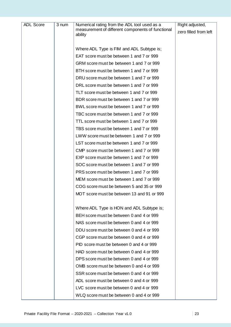| <b>ADL Score</b> | 3 num | Numerical rating from the ADL tool used as a                 | Right adjusted,       |
|------------------|-------|--------------------------------------------------------------|-----------------------|
|                  |       | measurement of different components of functional<br>ability | zero filled from left |
|                  |       |                                                              |                       |
|                  |       | Where ADL Type is FIM and ADL Subtype is;                    |                       |
|                  |       | EAT score must be between 1 and 7 or 999                     |                       |
|                  |       | GRM score must be between 1 and 7 or 999                     |                       |
|                  |       | BTH score must be between 1 and 7 or 999                     |                       |
|                  |       | DRU score must be between 1 and 7 or 999                     |                       |
|                  |       | DRL score must be between 1 and 7 or 999                     |                       |
|                  |       | TLT score must be between 1 and 7 or 999                     |                       |
|                  |       | BDR score must be between 1 and 7 or 999                     |                       |
|                  |       | BWL score must be between 1 and 7 or 999                     |                       |
|                  |       | TBC score must be between 1 and 7 or 999                     |                       |
|                  |       | TTL score must be between 1 and 7 or 999                     |                       |
|                  |       | TBS score must be between 1 and 7 or 999                     |                       |
|                  |       | LWW score must be between 1 and 7 or 999                     |                       |
|                  |       | LST score must be between 1 and 7 or 999                     |                       |
|                  |       | CMP score must be between 1 and 7 or 999                     |                       |
|                  |       | EXP score must be between 1 and 7 or 999                     |                       |
|                  |       | SOC score must be between 1 and 7 or 999                     |                       |
|                  |       | PRS score must be between 1 and 7 or 999                     |                       |
|                  |       | MEM score must be between 1 and 7 or 999                     |                       |
|                  |       | COG score must be between 5 and 35 or 999                    |                       |
|                  |       | MOT score must be between 13 and 91 or 999                   |                       |
|                  |       | Where ADL Type is HON and ADL Subtype is;                    |                       |
|                  |       | BEH score must be between 0 and 4 or 999                     |                       |
|                  |       | NAS score must be between 0 and 4 or 999                     |                       |
|                  |       | DDU score must be between 0 and 4 or 999                     |                       |
|                  |       | CGP score must be between 0 and 4 or 999                     |                       |
|                  |       | PID score must be between 0 and 4 or 999                     |                       |
|                  |       | HAD score must be between 0 and 4 or 999                     |                       |
|                  |       | DPS score must be between 0 and 4 or 999                     |                       |
|                  |       | OMB score must be between 0 and 4 or 999                     |                       |
|                  |       | SSR score must be between 0 and 4 or 999                     |                       |
|                  |       | ADL score must be between 0 and 4 or 999                     |                       |
|                  |       | LVC score must be between 0 and 4 or 999                     |                       |
|                  |       | WLQ score must be between 0 and 4 or 999                     |                       |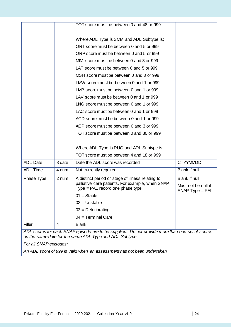|                        |        | TOT score must be between 0 and 48 or 999                                                       |                                          |
|------------------------|--------|-------------------------------------------------------------------------------------------------|------------------------------------------|
|                        |        |                                                                                                 |                                          |
|                        |        | Where ADL Type is SMM and ADL Subtype is;                                                       |                                          |
|                        |        | ORT score must be between 0 and 5 or 999                                                        |                                          |
|                        |        | ORP score must be between 0 and 5 or 999                                                        |                                          |
|                        |        | MIM score must be between 0 and 3 or 999                                                        |                                          |
|                        |        | LAT score must be between 0 and 5 or 999                                                        |                                          |
|                        |        | MSH score must be between 0 and 3 or 999                                                        |                                          |
|                        |        | LMW score must be between 0 and 1 or 999                                                        |                                          |
|                        |        | LMP score must be between 0 and 1 or 999                                                        |                                          |
|                        |        | LAV score must be between 0 and 1 or 999                                                        |                                          |
|                        |        | LNG score must be between 0 and 1 or 999                                                        |                                          |
|                        |        | LAC score must be between 0 and 1 or 999                                                        |                                          |
|                        |        | ACD score must be between 0 and 1 or 999                                                        |                                          |
|                        |        | ACP score must be between 0 and 3 or 999                                                        |                                          |
|                        |        | TOT score must be between 0 and 30 or 999                                                       |                                          |
|                        |        | Where ADL Type is RUG and ADL Subtype is;                                                       |                                          |
|                        |        | TOT score must be between 4 and 18 or 999                                                       |                                          |
| <b>ADL Date</b>        | 8 date | Date the ADL score was recorded                                                                 | <b>CTYYMMDD</b>                          |
| <b>ADL Time</b>        | 4 num  | Not currently required                                                                          | Blank if null                            |
| Phase Type             | 2 num  | A distinct period or stage of illness relating to                                               | Blank if null                            |
|                        |        | palliative care patients. For example, when SNAP<br>Type $=$ PAL record one phase type:         | Must not be null if<br>$SNAP$ Type = PAL |
|                        |        | $01 =$ Stable                                                                                   |                                          |
|                        |        | $02 =$ Unstable                                                                                 |                                          |
|                        |        | $03$ = Deteriorating                                                                            |                                          |
|                        |        | $04 = Terminal Care$                                                                            |                                          |
| Filler                 | 4      | <b>Blank</b>                                                                                    |                                          |
|                        |        | ADL scores for each SNAP episode are to be supplied. Do not provide more than one set of scores |                                          |
|                        |        | on the same date for the same ADL Type and ADL Subtype.                                         |                                          |
| For all SNAP episodes: |        |                                                                                                 |                                          |

*An ADL score of 999 is valid when an assessment has not been undertaken.*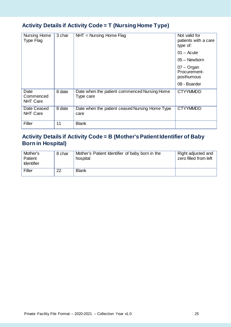## **Activity Details if Activity Code = T (Nursing Home Type)**

| Nursing Home<br>Type Flag            | 3 char | $NHT = Nursing Home Flag$                                 | Not valid for<br>patients with a care<br>type of: |
|--------------------------------------|--------|-----------------------------------------------------------|---------------------------------------------------|
|                                      |        |                                                           | $01 -$ Acute                                      |
|                                      |        |                                                           | $05 -$ Newborn                                    |
|                                      |        |                                                           | $07 -$ Organ<br>Procurement-<br>posthumous        |
|                                      |        |                                                           | 08 - Boarder                                      |
| Date<br>Commenced<br><b>NHT Care</b> | 8 date | Date when the patient commenced Nursing Home<br>Type care | <b>CTYYMMDD</b>                                   |
| Date Ceased<br><b>NHT Care</b>       | 8 date | Date when the patient ceased Nursing Home Type<br>care    | <b>CTYYMMDD</b>                                   |
| Filler                               | 11     | <b>Blank</b>                                              |                                                   |

## **Activity Details if Activity Code = B (Mother's Patient Identifier of Baby Born in Hospital)**

| Mother's<br>Patient<br><b>Identifier</b> | 8 char | Mother's Patient Identifier of baby born in the<br>hospital | Right adjusted and<br>zero filled from left |
|------------------------------------------|--------|-------------------------------------------------------------|---------------------------------------------|
| Filler                                   | 22     | <b>Blank</b>                                                |                                             |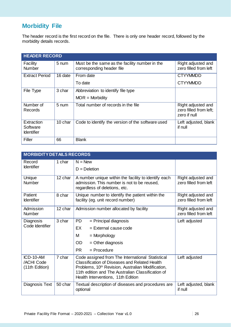# **Morbidity File**

The header record is the first record on the file. There is only one header record, followed by the morbidity details records.

| <b>HEADER RECORD</b>                        |         |                                                                             |                                                              |  |
|---------------------------------------------|---------|-----------------------------------------------------------------------------|--------------------------------------------------------------|--|
| Facility<br>Number                          | 5 num   | Must be the same as the facility number in the<br>corresponding header file | Right adjusted and<br>zero filled from left                  |  |
| <b>Extract Period</b>                       | 16 date | From date                                                                   | <b>CTYYMMDD</b>                                              |  |
|                                             |         | To date                                                                     | <b>CTYYMMDD</b>                                              |  |
| File Type                                   | 3 char  | Abbreviation to identify file type                                          |                                                              |  |
|                                             |         | $MOR =$ Morbidity                                                           |                                                              |  |
| Number of<br>Records                        | 5 num   | Total number of records in the file                                         | Right adjusted and<br>zero filled from left;<br>zero if null |  |
| Extraction<br>Software<br><b>Identifier</b> | 10 char | Code to identify the version of the software used                           | Left adjusted, blank<br>if null                              |  |
| Filler                                      | 66      | <b>Blank</b>                                                                |                                                              |  |

|                                           | <b>MORBIDITY DETAILS RECORDS</b> |                                                                                                                                                                                                                                                                      |                                             |  |  |
|-------------------------------------------|----------------------------------|----------------------------------------------------------------------------------------------------------------------------------------------------------------------------------------------------------------------------------------------------------------------|---------------------------------------------|--|--|
| Record<br><b>Identifier</b>               | 1 char                           | $N = New$<br>$D = Deletion$                                                                                                                                                                                                                                          |                                             |  |  |
| Unique<br><b>Number</b>                   | 12 char                          | A number unique within the facility to identify each<br>admission. This number is not to be reused,<br>regardless of deletions, etc.                                                                                                                                 | Right adjusted and<br>zero filled from left |  |  |
| Patient<br><b>Identifier</b>              | 8 char                           | Unique number to identify the patient within the<br>facility (eg. unit record number)                                                                                                                                                                                | Right adjusted and<br>zero filled from left |  |  |
| Admission<br><b>Number</b>                | 12 char                          | Admission number allocated by facility                                                                                                                                                                                                                               | Right adjusted and<br>zero filled from left |  |  |
| Diagnosis<br>Code Identifier              | 3 char                           | <b>PD</b><br>= Principal diagnosis<br>EX<br>$=$ External cause code<br>м<br>$=$ Morphology<br>OD<br>$=$ Other diagnosis<br>PR.<br>$=$ Procedure                                                                                                                      | Left adjusted                               |  |  |
| ICD-10-AM<br>/ACHI Code<br>(11th Edition) | 7 char                           | Code assigned from The International Statistical<br><b>Classification of Diseases and Related Health</b><br>Problems, 10 <sup>th</sup> Revision, Australian Modification,<br>11th edition and The Australian Classification of<br>Health Interventions, 11th Edition | Left adjusted                               |  |  |
| Diagnosis Text                            | 50 char                          | Textual description of diseases and procedures are<br>optional                                                                                                                                                                                                       | Left adjusted, blank<br>if null             |  |  |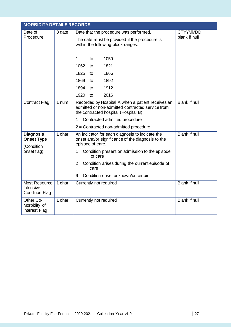| <b>MORBIDITY DETAILS RECORDS</b>                                   |        |                                                                                                                                               |                      |  |
|--------------------------------------------------------------------|--------|-----------------------------------------------------------------------------------------------------------------------------------------------|----------------------|--|
| Date of                                                            | 8 date | Date that the procedure was performed.                                                                                                        | CTYYMMDD,            |  |
| Procedure                                                          |        | The date must be provided if the procedure is<br>within the following block ranges:                                                           | blank if null        |  |
|                                                                    |        | 1059<br>1<br>to                                                                                                                               |                      |  |
|                                                                    |        | 1062<br>1821<br>to                                                                                                                            |                      |  |
|                                                                    |        | 1866<br>1825<br>to                                                                                                                            |                      |  |
|                                                                    |        | 1869<br>1892<br>to                                                                                                                            |                      |  |
|                                                                    |        | 1894<br>1912<br>to                                                                                                                            |                      |  |
|                                                                    |        | 1920<br>2016<br>to                                                                                                                            |                      |  |
| <b>Contract Flag</b>                                               | 1 num  | Recorded by Hospital A when a patient receives an<br>admitted or non-admitted contracted service from<br>the contracted hospital (Hospital B) | <b>Blank if null</b> |  |
|                                                                    |        | $1 =$ Contracted admitted procedure                                                                                                           |                      |  |
|                                                                    |        | $2 =$ Contracted non-admitted procedure                                                                                                       |                      |  |
| <b>Diagnosis</b><br><b>Onset Type</b><br>(Condition<br>onset flag) | 1 char | An indicator for each diagnosis to indicate the<br>onset and/or significance of the diagnosis to the<br>episode of care.                      | <b>Blank if null</b> |  |
|                                                                    |        | $1 =$ Condition present on admission to the episode<br>of care                                                                                |                      |  |
|                                                                    |        | $2$ = Condition arises during the current episode of<br>care                                                                                  |                      |  |
|                                                                    |        | 9 = Condition onset unknown/uncertain                                                                                                         |                      |  |
| Most Resource<br><b>Intensive</b><br><b>Condition Flag</b>         | 1 char | Currently not required                                                                                                                        | <b>Blank if null</b> |  |
| Other Co-<br>Morbidity of<br>Interest Flag                         | 1 char | Currently not required                                                                                                                        | <b>Blank if null</b> |  |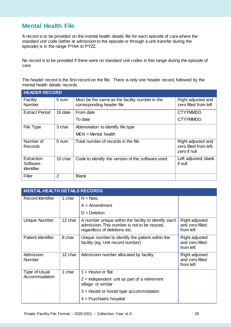## **Mental Health File**

A record is to be provided on the mental health details file for each episode of care where the standard unit code (either at admission to the episode or through a unit transfer during the episode) is in the range PYAA to PYZZ.

No record is to be provided if there were no standard unit codes in this range during the episode of care.

The header record is the first record on the file. There is only one header record, followed by the mental health details records.

| <b>HEADER RECORD</b>                        |                |                                                                             |                                                              |
|---------------------------------------------|----------------|-----------------------------------------------------------------------------|--------------------------------------------------------------|
| Facility<br>Number                          | 5 num          | Must be the same as the facility number in the<br>corresponding header file | Right adjusted and<br>zero filled from left                  |
| <b>Extract Period</b>                       | 16 date        | From date<br>To date                                                        | <b>CTYYMMDD</b><br><b>CTYYMMDD</b>                           |
|                                             |                |                                                                             |                                                              |
| File Type                                   | 3 char         | Abbreviation to identify file type                                          |                                                              |
|                                             |                | $MEN = Mental$ health                                                       |                                                              |
| Number of<br><b>Records</b>                 | 5 num          | Total number of records in the file                                         | Right adjusted and<br>zero filled from left;<br>zero if null |
| Extraction<br>Software<br><b>Identifier</b> | 10 char        | Code to identify the version of the software used                           | Left adjusted, blank<br>if null                              |
| Filler                                      | $\overline{2}$ | <b>Blank</b>                                                                |                                                              |

| <b>MENTAL HEALTH DETAILS RECORDS</b> |         |                                                                                                                                     |                                                |
|--------------------------------------|---------|-------------------------------------------------------------------------------------------------------------------------------------|------------------------------------------------|
| Record Identifier                    | 1 char  | $N = New$ ,                                                                                                                         |                                                |
|                                      |         | $A =$ Amendment                                                                                                                     |                                                |
|                                      |         | $D = Deletion$                                                                                                                      |                                                |
| Unique Number                        | 12 char | A number unique within the facility to identify each<br>admission. This number is not to be reused,<br>regardless of deletions etc. | Right adjusted<br>and zero filled<br>from left |
| <b>Patient Identifier</b>            | 8 char  | Unique number to identify the patient within the<br>facility (eg. Unit record number)                                               | Right adjusted<br>and zero filled<br>from left |
| Admission<br><b>Number</b>           | 12 char | Admission number allocated by facility                                                                                              | Right adjusted<br>and zero filled<br>from left |
| Type of Usual<br>Accommodation       | 1 char  | $1 =$ House or flat                                                                                                                 |                                                |
|                                      |         | $2$ = Independent unit as part of a retirement<br>village or similar                                                                |                                                |
|                                      |         | $3$ = Hostel or hostel type accommodation                                                                                           |                                                |
|                                      |         | $4 =$ Psychiatric hospital                                                                                                          |                                                |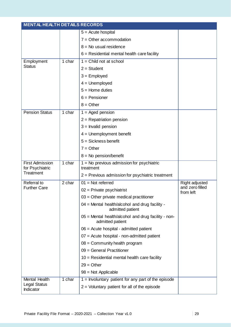| <b>MENTAL HEALTH DETAILS RECORDS</b>      |        |                                                                         |                              |
|-------------------------------------------|--------|-------------------------------------------------------------------------|------------------------------|
|                                           |        | $5 =$ Acute hospital                                                    |                              |
|                                           |        | $7 =$ Other accommodation                                               |                              |
|                                           |        | $8 = No$ usual residence                                                |                              |
|                                           |        | $6$ = Residential mental health care facility                           |                              |
| Employment                                | 1 char | $1 =$ Child not at school                                               |                              |
| <b>Status</b>                             |        | $2 = Student$                                                           |                              |
|                                           |        | $3 =$ Employed                                                          |                              |
|                                           |        | $4 =$ Unemployed                                                        |                              |
|                                           |        | $5 =$ Home duties                                                       |                              |
|                                           |        | $6$ = Pensioner                                                         |                              |
|                                           |        | $8 =$ Other                                                             |                              |
| <b>Pension Status</b>                     | 1 char | $1 =$ Aged pension                                                      |                              |
|                                           |        | $2 =$ Repatriation pension                                              |                              |
|                                           |        | $3 =$ Invalid pension                                                   |                              |
|                                           |        | $4 =$ Unemployment benefit                                              |                              |
|                                           |        | $5 = Sickness benefit$                                                  |                              |
|                                           |        | $7 = Other$                                                             |                              |
|                                           |        | $8 = No$ pension/benefit                                                |                              |
| <b>First Admission</b><br>for Psychiatric | 1 char | $1 = No$ previous admission for psychiatric<br>treatment                |                              |
| Treatment                                 |        | $2$ = Previous admission for psychiatric treatment                      |                              |
| Referral to                               | 2 char | $01 = Not referred$                                                     | <b>Right adjusted</b>        |
| <b>Further Care</b>                       |        | $02$ = Private psychiatrist                                             | and zero filled<br>from left |
|                                           |        | $03$ = Other private medical practitioner                               |                              |
|                                           |        | 04 = Mental health/alcohol and drug facility -<br>admitted patient      |                              |
|                                           |        | 05 = Mental health/alcohol and drug facility - non-<br>admitted patient |                              |
|                                           |        | $06$ = Acute hospital - admitted patient                                |                              |
|                                           |        | $07$ = Acute hospital - non-admitted patient                            |                              |
|                                           |        | $08 =$ Community health program                                         |                              |
|                                           |        | 09 = General Practitioner                                               |                              |
|                                           |        | $10$ = Residential mental health care facility                          |                              |
|                                           |        | $29 = Other$                                                            |                              |
|                                           |        | $98 = Not Applicable$                                                   |                              |
| Mental Health                             | 1 char | $1 =$ Involuntary patient for any part of the episode                   |                              |
| Legal Status<br>Indicator                 |        | $2$ = Voluntary patient for all of the episode                          |                              |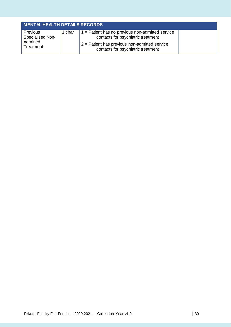| <b>MENTAL HEALTH DETAILS RECORDS</b>                  |        |                                                                                                                                                                                   |  |  |
|-------------------------------------------------------|--------|-----------------------------------------------------------------------------------------------------------------------------------------------------------------------------------|--|--|
| Previous<br>Specialised Non-<br>Admitted<br>Treatment | 1 char | $1 =$ Patient has no previous non-admitted service<br>contacts for psychiatric treatment<br>$2$ = Patient has previous non-admitted service<br>contacts for psychiatric treatment |  |  |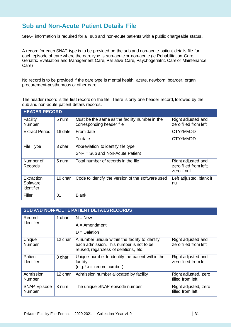## **Sub and Non-Acute Patient Details File**

SNAP information is required for all sub and non-acute patients with a public chargeable status**.**

A record for each SNAP type is to be provided on the sub and non-acute patient details file for each episode of care where the care type is sub-acute or non-acute (ie Rehabilitation Care, Geriatric Evaluation and Management Care, Palliative Care, Psychogeriatric Care or Maintenance Care)

No record is to be provided if the care type is mental health, acute, newborn, boarder, organ procurement-posthumous or other care.

The header record is the first record on the file. There is only one header record, followed by the sub and non-acute patient details records.

| <b>HEADER RECORD</b>                        |         |                                                                             |                                                              |  |
|---------------------------------------------|---------|-----------------------------------------------------------------------------|--------------------------------------------------------------|--|
| Facility<br><b>Number</b>                   | 5 num   | Must be the same as the facility number in the<br>corresponding header file | Right adjusted and<br>zero filled from left                  |  |
| <b>Extract Period</b>                       | 16 date | From date                                                                   | <b>CTYYMMDD</b>                                              |  |
|                                             |         | To date                                                                     | <b>CTYYMMDD</b>                                              |  |
| File Type                                   | 3 char  | Abbreviation to identify file type                                          |                                                              |  |
|                                             |         | SNP = Sub and Non-Acute Patient                                             |                                                              |  |
| Number of<br>Records                        | 5 num   | Total number of records in the file                                         | Right adjusted and<br>zero filled from left;<br>zero if null |  |
| Extraction<br>Software<br><b>Identifier</b> | 10 char | Code to identify the version of the software used                           | Left adjusted, blank if<br>null                              |  |
| Filler                                      | 31      | <b>Blank</b>                                                                |                                                              |  |

| SUB AND NON-ACUTE PATIENT DETAILS RECORDS |         |                                                                                                                                      |                                             |  |
|-------------------------------------------|---------|--------------------------------------------------------------------------------------------------------------------------------------|---------------------------------------------|--|
| Record                                    | 1 char  | $N = New$                                                                                                                            |                                             |  |
| <b>Identifier</b>                         |         | $A =$ Amendment                                                                                                                      |                                             |  |
|                                           |         | $D = Deletion$                                                                                                                       |                                             |  |
| Unique<br>Number                          | 12 char | A number unique within the facility to identify<br>each admission. This number is not to be<br>reused, regardless of deletions, etc. | Right adjusted and<br>zero filled from left |  |
| Patient<br><b>Identifier</b>              | 8 char  | Unique number to identify the patient within the<br>facility<br>(e.g. Unit record number)                                            | Right adjusted and<br>zero filled from left |  |
| Admission<br><b>Number</b>                | 12 char | Admission number allocated by facility                                                                                               | Right adjusted, zero<br>filled from left    |  |
| <b>SNAP Episode</b><br><b>Number</b>      | 3 num   | The unique SNAP episode number                                                                                                       | Right adjusted, zero<br>filled from left    |  |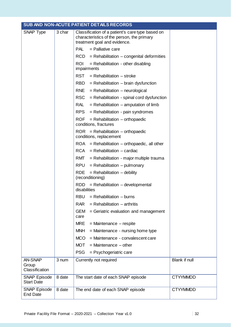|                                           | SUB AND NON-ACUTE PATIENT DETAILS RECORDS |                                                                                                                                |                 |  |  |
|-------------------------------------------|-------------------------------------------|--------------------------------------------------------------------------------------------------------------------------------|-----------------|--|--|
| SNAP Type                                 | 3 char                                    | Classification of a patient's care type based on<br>characteristics of the person, the primary<br>treatment goal and evidence. |                 |  |  |
|                                           |                                           | PAL<br>$=$ Palliative care                                                                                                     |                 |  |  |
|                                           |                                           | $RCD = Rehabilitation - congenital deformities$                                                                                |                 |  |  |
|                                           |                                           | <b>ROI</b><br>$=$ Rehabilitation - other disabling<br>impairments                                                              |                 |  |  |
|                                           |                                           | RST<br>$=$ Rehabilitation $-$ stroke                                                                                           |                 |  |  |
|                                           |                                           | $=$ Rehabilitation $-$ brain dysfunction<br>RBD                                                                                |                 |  |  |
|                                           |                                           | RNE<br>$=$ Rehabilitation $-$ neurological                                                                                     |                 |  |  |
|                                           |                                           | <b>RSC</b><br>$=$ Rehabilitation - spinal cord dysfunction                                                                     |                 |  |  |
|                                           |                                           | RAL<br>$=$ Rehabilitation $-$ amputation of limb                                                                               |                 |  |  |
|                                           |                                           | <b>RPS</b><br>$=$ Rehabilitation - pain syndromes                                                                              |                 |  |  |
|                                           |                                           | $=$ Rehabilitation $-$ orthopaedic<br>ROF<br>conditions, fractures                                                             |                 |  |  |
|                                           |                                           | $ROR = Rehabilitation - orthopaedic$<br>conditions, replacement                                                                |                 |  |  |
|                                           |                                           | $ROA = Rehabilitation - orthopaedic, all other$                                                                                |                 |  |  |
|                                           |                                           | $RCA = Rehabilitation - cardiac$                                                                                               |                 |  |  |
|                                           |                                           | RMT<br>$=$ Rehabilitation - major multiple trauma                                                                              |                 |  |  |
|                                           |                                           | RPU<br>$=$ Rehabilitation $-$ pulmonary                                                                                        |                 |  |  |
|                                           |                                           | <b>RDE</b><br>$=$ Rehabilitation $-$ debility<br>(reconditioning)                                                              |                 |  |  |
|                                           |                                           | $RDD = Rehabilitation - developmental$<br>disabilities                                                                         |                 |  |  |
|                                           |                                           | $=$ Rehabilitation $-$ burns<br>RBU                                                                                            |                 |  |  |
|                                           |                                           | <b>RAR</b><br>$=$ Rehabilitation $-$ arthritis                                                                                 |                 |  |  |
|                                           |                                           | <b>GEM</b><br>= Geriatric evaluation and management<br>care                                                                    |                 |  |  |
|                                           |                                           | <b>MRE</b><br>$=$ Maintenance $-$ respite                                                                                      |                 |  |  |
|                                           |                                           | <b>MNH</b><br>$=$ Maintenance - nursing home type                                                                              |                 |  |  |
|                                           |                                           | <b>MCO</b><br>= Maintenance - convalescent care                                                                                |                 |  |  |
|                                           |                                           | <b>MOT</b><br>$=$ Maintenance $-$ other                                                                                        |                 |  |  |
|                                           |                                           | <b>PSG</b><br>= Psychogeriatric care                                                                                           |                 |  |  |
| <b>AN-SNAP</b><br>Group<br>Classification | 3 num                                     | Currently not required                                                                                                         | Blank if null   |  |  |
| <b>SNAP Episode</b><br><b>Start Date</b>  | 8 date                                    | The start date of each SNAP episode                                                                                            | <b>CTYYMMDD</b> |  |  |
| <b>SNAP Episode</b><br><b>End Date</b>    | 8 date                                    | The end date of each SNAP episode                                                                                              | <b>CTYYMMDD</b> |  |  |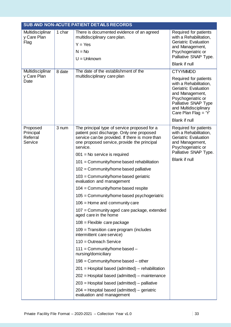| SUB AND NON-ACUTE PATIENT DETAILS RECORDS    |        |                                                                                                                                                                                                                                                                                                                                                                                                                                                                                                                                                                                                                                                                                                                                                                                                                                                                                                                                                                                                                                                                                              |                                                                                                                                                                                                                                             |  |
|----------------------------------------------|--------|----------------------------------------------------------------------------------------------------------------------------------------------------------------------------------------------------------------------------------------------------------------------------------------------------------------------------------------------------------------------------------------------------------------------------------------------------------------------------------------------------------------------------------------------------------------------------------------------------------------------------------------------------------------------------------------------------------------------------------------------------------------------------------------------------------------------------------------------------------------------------------------------------------------------------------------------------------------------------------------------------------------------------------------------------------------------------------------------|---------------------------------------------------------------------------------------------------------------------------------------------------------------------------------------------------------------------------------------------|--|
| Multidisciplinar<br>y Care Plan<br>Flag      | 1 char | There is documented evidence of an agreed<br>multidisciplinary care plan.<br>$Y = Yes$<br>$N = No$<br>$U =$ Unknown                                                                                                                                                                                                                                                                                                                                                                                                                                                                                                                                                                                                                                                                                                                                                                                                                                                                                                                                                                          | Required for patients<br>with a Rehabilitation,<br><b>Geriatric Evaluation</b><br>and Management,<br>Psychogeriatric or<br>Palliative SNAP Type.<br><b>Blank if null</b>                                                                    |  |
| Multidisciplinar<br>y Care Plan<br>Date      | 8 date | The date of the establishment of the<br>multidisciplinary care plan                                                                                                                                                                                                                                                                                                                                                                                                                                                                                                                                                                                                                                                                                                                                                                                                                                                                                                                                                                                                                          | <b>CTYYMMDD</b><br>Required for patients<br>with a Rehabilitation,<br><b>Geriatric Evaluation</b><br>and Management,<br>Psychogeriatric or<br>Palliative SNAP Type<br>and Multidisciplinary<br>Care Plan Flag = 'Y'<br><b>Blank if null</b> |  |
| Proposed<br>Principal<br>Referral<br>Service | 3 num  | The principal type of service proposed for a<br>patient post discharge. Only one proposed<br>service can be provided. If there is more than<br>one proposed service, provide the principal<br>service.<br>$001$ = No service is required<br>101 = Community/home based rehabilitation<br>102 = Community/home based palliative<br>$103$ = Community/home based geriatric<br>evaluation and management<br>$104 =$ Community/home based respite<br>105 = Community/home based psychogeriatric<br>$106$ = Home and community care<br>$107$ = Community aged care package, extended<br>aged care in the home<br>$108$ = Flexible care package<br>$109$ = Transition care program (includes<br>intermittent care service)<br>$110 =$ Outreach Service<br>$111 =$ Community/home based $-$<br>nursing/domiciliary<br>$198$ = Community/home based – other<br>$201$ = Hospital based (admitted) – rehabilitation<br>$202$ = Hospital based (admitted) – maintenance<br>$203$ = Hospital based (admitted) – palliative<br>$204$ = Hospital based (admitted) – geriatric<br>evaluation and management | Required for patients<br>with a Rehabilitation,<br><b>Geriatric Evaluation</b><br>and Management,<br>Psychogeriatric or<br>Palliative SNAP Type.<br><b>Blank if null</b>                                                                    |  |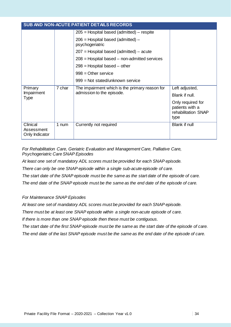| SUB AND NON-ACUTE PATIENT DETAILS RECORDS |        |                                                                             |                                                                     |  |
|-------------------------------------------|--------|-----------------------------------------------------------------------------|---------------------------------------------------------------------|--|
|                                           |        | $205$ = Hospital based (admitted) – respite                                 |                                                                     |  |
|                                           |        | $206$ = Hospital based (admitted) –<br>psychogeriatric                      |                                                                     |  |
|                                           |        | $207$ = Hospital based (admitted) – acute                                   |                                                                     |  |
|                                           |        | $208$ = Hospital based – non-admitted services                              |                                                                     |  |
|                                           |        | $298$ = Hospital based – other                                              |                                                                     |  |
|                                           |        | $998 =$ Other service                                                       |                                                                     |  |
|                                           |        | $999 = Not stated/unknown service$                                          |                                                                     |  |
| Primary                                   | 7 char | The impairment which is the primary reason for<br>admission to the episode. | Left adjusted,                                                      |  |
| Impairment<br>Type                        |        |                                                                             | Blank if null.                                                      |  |
|                                           |        |                                                                             | Only required for<br>patients with a<br>rehabilitation SNAP<br>type |  |
| Clinical<br>Assessment<br>Only Indicator  | 1 num  | Currently not required                                                      | <b>Blank if null</b>                                                |  |

*For Rehabilitation Care, Geriatric Evaluation and Management Care, Palliative Care, Psychogeriatric Care SNAP Episodes*

*At least one set of mandatory ADL scores must be provided for each SNAP episode.*

*There can only be one SNAP episode within a single sub-acute episode of care.* 

*The start date of the SNAP episode must be the same as the start date of the episode of care.*

*The end date of the SNAP episode must be the same as the end date of the episode of care.*

#### *For Maintenance SNAP Episodes*

*At least one set of mandatory ADL scores must be provided for each SNAP episode.*

*There must be at least one SNAP episode within a single non-acute episode of care.* 

*If there is more than one SNAP episode then these must be contiguous.*

*The start date of the first SNAP episode must be the same as the start date of the episode of care. The end date of the last SNAP episode must be the same as the end date of the episode of care.*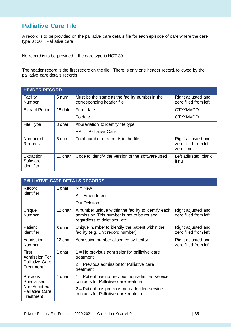## **Palliative Care File**

A record is to be provided on the palliative care details file for each episode of care where the care type is:  $30 =$  Palliative care

No record is to be provided if the care type is NOT 30.

The header record is the first record on the file. There is only one header record, followed by the palliative care details records.

| <b>HEADER RECORD</b>                        |                    |                                                                             |                                                              |  |
|---------------------------------------------|--------------------|-----------------------------------------------------------------------------|--------------------------------------------------------------|--|
| Facility<br>Number                          | 5 num              | Must be the same as the facility number in the<br>corresponding header file | Right adjusted and<br>zero filled from left                  |  |
| <b>Extract Period</b>                       | 16 date            | From date                                                                   | <b>CTYYMMDD</b>                                              |  |
|                                             |                    | To date                                                                     | <b>CTYYMMDD</b>                                              |  |
| File Type                                   | 3 char             | Abbreviation to identify file type                                          |                                                              |  |
|                                             |                    | $PAL = Palliative Care$                                                     |                                                              |  |
| Number of<br><b>Records</b>                 | $5 \,\mathrm{num}$ | Total number of records in the file                                         | Right adjusted and<br>zero filled from left;<br>zero if null |  |
| Extraction<br>Software<br><b>Identifier</b> | 10 char            | Code to identify the version of the software used                           | Left adjusted, blank<br>if null                              |  |

|                                                                                       | <b>PALLIATIVE CARE DETAILS RECORDS</b> |                                                                                                                                                                                           |                                             |  |  |
|---------------------------------------------------------------------------------------|----------------------------------------|-------------------------------------------------------------------------------------------------------------------------------------------------------------------------------------------|---------------------------------------------|--|--|
| Record<br><b>Identifier</b>                                                           | 1 char                                 | $N = New$<br>$A =$ Amendment<br>$D = Deletion$                                                                                                                                            |                                             |  |  |
| Unique<br>Number                                                                      | 12 char                                | A number unique within the facility to identify each<br>admission. This number is not to be reused,<br>regardless of deletions, etc.                                                      | Right adjusted and<br>zero filled from left |  |  |
| Patient<br><b>Identifier</b>                                                          | 8 char                                 | Unique number to identify the patient within the<br>facility (e.g. Unit record number)                                                                                                    | Right adjusted and<br>zero filled from left |  |  |
| Admission<br><b>Number</b>                                                            | 12 char                                | Admission number allocated by facility                                                                                                                                                    | Right adjusted and<br>zero filled from left |  |  |
| First<br>Admission For<br><b>Palliative Care</b><br><b>Treatment</b>                  | 1 char                                 | $1 = No$ previous admission for palliative care<br>treatment<br>$2$ = Previous admission for Palliative care<br>treatment                                                                 |                                             |  |  |
| Previous<br>Specialised<br>Non-Admitted<br><b>Palliative Care</b><br><b>Treatment</b> | 1 char                                 | $1 =$ Patient has no previous non-admitted service<br>contacts for Palliative care treatment<br>$2$ = Patient has previous non-admitted service<br>contacts for Palliative care treatment |                                             |  |  |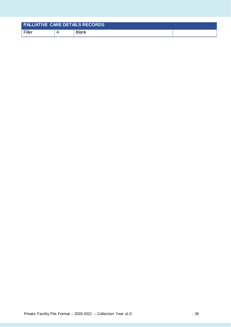| <b>PALLIATIVE CARE DETAILS RECORDS</b> |       |  |
|----------------------------------------|-------|--|
| Filler                                 | Blank |  |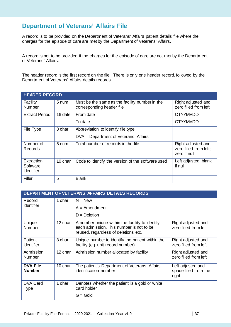## **Department of Veterans' Affairs File**

A record is to be provided on the Department of Veterans' Affairs patient details file where the charges for the episode of care are met by the Department of Veterans' Affairs.

A record is not to be provided if the charges for the episode of care are not met by the Department of Veterans' Affairs.

The header record is the first record on the file. There is only one header record, followed by the Department of Veterans' Affairs details records.

| <b>HEADER RECORD</b>                        |         |                                                                             |                                                              |  |
|---------------------------------------------|---------|-----------------------------------------------------------------------------|--------------------------------------------------------------|--|
| Facility<br>Number                          | 5 num   | Must be the same as the facility number in the<br>corresponding header file | Right adjusted and<br>zero filled from left                  |  |
| <b>Extract Period</b>                       | 16 date | From date                                                                   | <b>CTYYMMDD</b>                                              |  |
|                                             |         | To date                                                                     | <b>CTYYMMDD</b>                                              |  |
| File Type                                   | 3 char  | Abbreviation to identify file type                                          |                                                              |  |
|                                             |         | DVA = Department of Veterans' Affairs                                       |                                                              |  |
| Number of<br>Records                        | 5 num   | Total number of records in the file                                         | Right adjusted and<br>zero filled from left;<br>zero if null |  |
| Extraction<br>Software<br><b>Identifier</b> | 10 char | Code to identify the version of the software used                           | Left adjusted, blank<br>if null                              |  |
| Filler                                      | 5       | <b>Blank</b>                                                                |                                                              |  |

| <b>DEPARTMENT OF VETERANS' AFFAIRS DETAILS RECORDS</b> |         |                                                                                                                                     |                                                     |
|--------------------------------------------------------|---------|-------------------------------------------------------------------------------------------------------------------------------------|-----------------------------------------------------|
| Record<br><b>Identifier</b>                            | 1 char  | $N = New$                                                                                                                           |                                                     |
|                                                        |         | $A =$ Amendment                                                                                                                     |                                                     |
|                                                        |         | $D = Deletion$                                                                                                                      |                                                     |
| Unique<br><b>Number</b>                                | 12 char | A number unique within the facility to identify<br>each admission. This number is not to be<br>reused, regardless of deletions etc. | Right adjusted and<br>zero filled from left         |
| Patient<br><b>Identifier</b>                           | 8 char  | Unique number to identify the patient within the<br>facility (eg. unit record number)                                               | Right adjusted and<br>zero filled from left         |
| Admission<br><b>Number</b>                             | 12 char | Admission number allocated by facility                                                                                              | Right adjusted and<br>zero filled from left         |
| <b>DVA File</b><br><b>Number</b>                       | 10 char | The patient's Department of Veterans' Affairs<br>identification number                                                              | Left adjusted and<br>space filled from the<br>right |
| <b>DVA Card</b><br>Type                                | 1 char  | Denotes whether the patient is a gold or white<br>card holder                                                                       |                                                     |
|                                                        |         | $G = Gold$                                                                                                                          |                                                     |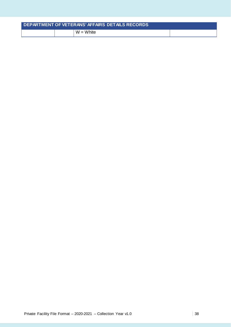|  | DEPARTMENT OF VETERANS' AFFAIRS DETAILS RECORDS |  |
|--|-------------------------------------------------|--|
|  | $W = White$                                     |  |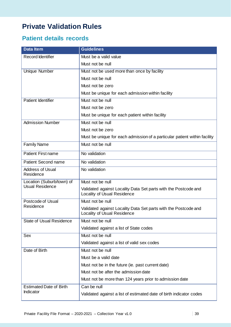# **Private Validation Rules**

## **Patient details records**

| <b>Data Item</b>                     | <b>Guidelines</b>                                                                              |
|--------------------------------------|------------------------------------------------------------------------------------------------|
| Record Identifier                    | Must be a valid value                                                                          |
|                                      | Must not be null                                                                               |
| Unique Number                        | Must not be used more than once by facility                                                    |
|                                      | Must not be null                                                                               |
|                                      | Must not be zero                                                                               |
|                                      | Must be unique for each admission within facility                                              |
| Patient Identifier                   | Must not be null                                                                               |
|                                      | Must not be zero                                                                               |
|                                      | Must be unique for each patient within facility                                                |
| <b>Admission Number</b>              | Must not be null                                                                               |
|                                      | Must not be zero                                                                               |
|                                      | Must be unique for each admission of a particular patient within facility                      |
| <b>Family Name</b>                   | Must not be null                                                                               |
| <b>Patient First name</b>            | No validation                                                                                  |
| <b>Patient Second name</b>           | No validation                                                                                  |
| <b>Address of Usual</b><br>Residence | No validation                                                                                  |
| Location (Suburb/town) of            | Must not be null                                                                               |
| <b>Usual Residence</b>               | Validated against Locality Data Set parts with the Postcode and<br>Locality of Usual Residence |
| Postcode of Usual                    | Must not be null                                                                               |
| Residence                            | Validated against Locality Data Set parts with the Postcode and<br>Locality of Usual Residence |
| <b>State of Usual Residence</b>      | Must not be null                                                                               |
|                                      | Validated against a list of State codes                                                        |
| <b>Sex</b>                           | Must not be null                                                                               |
|                                      | Validated against a list of valid sex codes                                                    |
| Date of Birth                        | Must not be null                                                                               |
|                                      | Must be a valid date                                                                           |
|                                      | Must not be in the future (ie. past current date)                                              |
|                                      | Must not be after the admission date                                                           |
|                                      | Must not be more than 124 years prior to admission date                                        |
| <b>Estimated Date of Birth</b>       | Can be null                                                                                    |
| Indicator                            | Validated against a list of estimated date of birth indicator codes                            |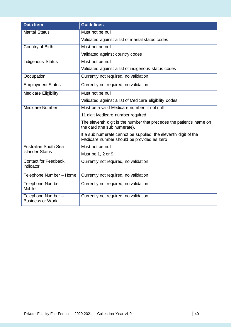| <b>Data Item</b>                              | <b>Guidelines</b>                                                                                             |
|-----------------------------------------------|---------------------------------------------------------------------------------------------------------------|
| <b>Marital Status</b>                         | Must not be null                                                                                              |
|                                               | Validated against a list of marital status codes                                                              |
| Country of Birth                              | Must not be null                                                                                              |
|                                               | Validated against country codes                                                                               |
| <b>Indigenous Status</b>                      | Must not be null                                                                                              |
|                                               | Validated against a list of indigenous status codes                                                           |
| Occupation                                    | Currently not required, no validation                                                                         |
| <b>Employment Status</b>                      | Currently not required, no validation                                                                         |
| <b>Medicare Eligibility</b>                   | Must not be null                                                                                              |
|                                               | Validated against a list of Medicare eligibility codes                                                        |
| <b>Medicare Number</b>                        | Must be a valid Medicare number, if not null                                                                  |
|                                               | 11 digit Medicare number required                                                                             |
|                                               | The eleventh digit is the number that precedes the patient's name on<br>the card (the sub numerate).          |
|                                               | If a sub numerate cannot be supplied, the eleventh digit of the<br>Medicare number should be provided as zero |
| <b>Australian South Sea</b>                   | Must not be null                                                                                              |
| <b>Islander Status</b>                        | Must be 1, 2 or 9                                                                                             |
| <b>Contact for Feedback</b><br>Indicator      | Currently not required, no validation                                                                         |
| Telephone Number - Home                       | Currently not required, no validation                                                                         |
| Telephone Number -<br><b>Mobile</b>           | Currently not required, no validation                                                                         |
| Telephone Number -<br><b>Business or Work</b> | Currently not required, no validation                                                                         |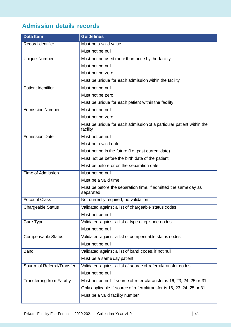# **Admission details records**

| <b>Data Item</b>                  | <b>Guidelines</b>                                                                |
|-----------------------------------|----------------------------------------------------------------------------------|
| Record Identifier                 | Must be a valid value                                                            |
|                                   | Must not be null                                                                 |
| Unique Number                     | Must not be used more than once by the facility                                  |
|                                   | Must not be null                                                                 |
|                                   | Must not be zero                                                                 |
|                                   | Must be unique for each admission within the facility                            |
| <b>Patient Identifier</b>         | Must not be null                                                                 |
|                                   | Must not be zero                                                                 |
|                                   | Must be unique for each patient within the facility                              |
| <b>Admission Number</b>           | Must not be null                                                                 |
|                                   | Must not be zero                                                                 |
|                                   | Must be unique for each admission of a particular patient within the<br>facility |
| <b>Admission Date</b>             | Must not be null                                                                 |
|                                   | Must be a valid date                                                             |
|                                   | Must not be in the future (i.e. past current date)                               |
|                                   | Must not be before the birth date of the patient                                 |
|                                   | Must be before or on the separation date                                         |
| <b>Time of Admission</b>          | Must not be null                                                                 |
|                                   | Must be a valid time                                                             |
|                                   | Must be before the separation time, if admitted the same day as<br>separated     |
| <b>Account Class</b>              | Not currently required, no validation                                            |
| <b>Chargeable Status</b>          | Validated against a list of chargeable status codes                              |
|                                   | Must not be null                                                                 |
| Care Type                         | Validated against a list of type of episode codes                                |
|                                   | Must not be null                                                                 |
| <b>Compensable Status</b>         | Validated against a list of compensable status codes                             |
|                                   | Must not be null                                                                 |
| <b>Band</b>                       | Validated against a list of band codes, if not null                              |
|                                   | Must be a same day patient                                                       |
| Source of Referral/Transfer       | Validated against a list of source of referral/transfer codes                    |
|                                   | Must not be null                                                                 |
| <b>Transferring from Facility</b> | Must not be null if source of referral/transfer is 16, 23, 24, 25 or 31          |
|                                   | Only applicable if source of referral/transfer is 16, 23, 24, 25 or 31           |
|                                   | Must be a valid facility number                                                  |
|                                   |                                                                                  |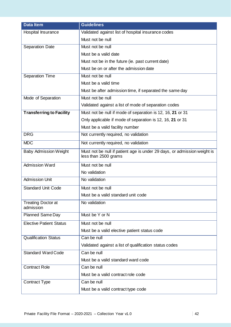| <b>Data Item</b>                       | <b>Guidelines</b>                                                                                |
|----------------------------------------|--------------------------------------------------------------------------------------------------|
| Hospital Insurance                     | Validated against list of hospital insurance codes                                               |
|                                        | Must not be null                                                                                 |
| Separation Date                        | Must not be null                                                                                 |
|                                        | Must be a valid date                                                                             |
|                                        | Must not be in the future (ie. past current date)                                                |
|                                        | Must be on or after the admission date                                                           |
| Separation Time                        | Must not be null                                                                                 |
|                                        | Must be a valid time                                                                             |
|                                        | Must be after admission time, if separated the same day                                          |
| Mode of Separation                     | Must not be null                                                                                 |
|                                        | Validated against a list of mode of separation codes                                             |
| <b>Transferring to Facility</b>        | Must not be null if mode of separation is 12, 16, 21 or 31                                       |
|                                        | Only applicable if mode of separation is 12, 16, 21 or 31                                        |
|                                        | Must be a valid facility number                                                                  |
| <b>DRG</b>                             | Not currently required, no validation                                                            |
| <b>MDC</b>                             | Not currently required, no validation                                                            |
| <b>Baby Admission Weight</b>           | Must not be null if patient age is under 29 days, or admission weight is<br>less than 2500 grams |
| <b>Admission Ward</b>                  | Must not be null                                                                                 |
|                                        | No validation                                                                                    |
| <b>Admission Unit</b>                  | No validation                                                                                    |
| <b>Standard Unit Code</b>              | Must not be null                                                                                 |
|                                        | Must be a valid standard unit code                                                               |
| <b>Treating Doctor at</b><br>admission | No validation                                                                                    |
| <b>Planned Same Day</b>                | Must be Y or N                                                                                   |
| <b>Elective Patient Status</b>         | Must not be null                                                                                 |
|                                        | Must be a valid elective patient status code                                                     |
| <b>Qualification Status</b>            | Can be null                                                                                      |
|                                        | Validated against a list of qualification status codes                                           |
| <b>Standard Ward Code</b>              | Can be null                                                                                      |
|                                        | Must be a valid standard ward code                                                               |
| <b>Contract Role</b>                   | Can be null                                                                                      |
|                                        | Must be a valid contract role code                                                               |
| <b>Contract Type</b>                   | Can be null                                                                                      |
|                                        | Must be a valid contract type code                                                               |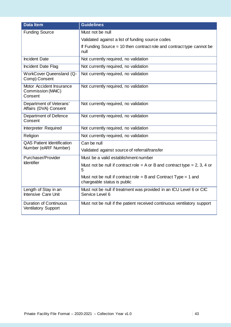| <b>Data Item</b>                                            | <b>Guidelines</b>                                                                                |
|-------------------------------------------------------------|--------------------------------------------------------------------------------------------------|
| <b>Funding Source</b>                                       | Must not be null                                                                                 |
|                                                             | Validated against a list of funding source codes                                                 |
|                                                             | If Funding Source = 10 then contract role and contract type cannot be<br>null                    |
| <b>Incident Date</b>                                        | Not currently required, no validation                                                            |
| Incident Date Flag                                          | Not currently required, no validation                                                            |
| <b>WorkCover Queensland (Q-</b><br>Comp) Consent            | Not currently required, no validation                                                            |
| Motor Accident Insurance<br>Commission (MAIC)<br>Consent    | Not currently required, no validation                                                            |
| Department of Veterans'<br>Affairs (DVA) Consent            | Not currently required, no validation                                                            |
| Department of Defence<br>Consent                            | Not currently required, no validation                                                            |
| Interpreter Required                                        | Not currently required, no validation                                                            |
| Religion                                                    | Not currently required, no validation                                                            |
| <b>QAS Patient Identification</b>                           | Can be null                                                                                      |
| Number (eARF Number)                                        | Validated against source of referral/transfer                                                    |
| Purchaser/Provider                                          | Must be a valid establishment number                                                             |
| <b>Identifier</b>                                           | Must not be null if contract role = A or B and contract type = 2, 3, 4 or<br>5                   |
|                                                             | Must not be null if contract role = $B$ and Contract Type = 1 and<br>chargeable status is public |
| Length of Stay in an<br><b>Intensive Care Unit</b>          | Must not be null if treatment was provided in an ICU Level 6 or CIC<br>Service Level 6           |
| <b>Duration of Continuous</b><br><b>Ventilatory Support</b> | Must not be null if the patient received continuous ventilatory support                          |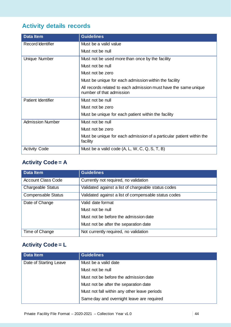# **Activity details records**

| <b>Data Item</b>         | <b>Guidelines</b>                                                                           |
|--------------------------|---------------------------------------------------------------------------------------------|
| <b>Record Identifier</b> | Must be a valid value                                                                       |
|                          | Must not be null                                                                            |
| Unique Number            | Must not be used more than once by the facility                                             |
|                          | Must not be null                                                                            |
|                          | Must not be zero                                                                            |
|                          | Must be unique for each admission within the facility                                       |
|                          | All records related to each admission must have the same unique<br>number of that admission |
| Patient Identifier       | Must not be null                                                                            |
|                          | Must not be zero                                                                            |
|                          | Must be unique for each patient within the facility                                         |
| <b>Admission Number</b>  | Must not be null                                                                            |
|                          | Must not be zero                                                                            |
|                          | Must be unique for each admission of a particular patient within the<br>facility            |
| <b>Activity Code</b>     | Must be a valid code $(A, L, W, C, Q, S, T, B)$                                             |

## **Activity Code = A**

| <b>Data Item</b>          | <b>Guidelines</b>                                    |
|---------------------------|------------------------------------------------------|
| <b>Account Class Code</b> | Currently not required, no validation                |
| <b>Chargeable Status</b>  | Validated against a list of chargeable status codes  |
| <b>Compensable Status</b> | Validated against a list of compensable status codes |
| Date of Change            | Valid date format                                    |
|                           | Must not be null                                     |
|                           | Must not be before the admission date                |
|                           | Must not be after the separation date                |
| Time of Change            | Not currently required, no validation                |

## **Activity Code = L**

| Data Item              | <b>Guidelines</b>                            |
|------------------------|----------------------------------------------|
| Date of Starting Leave | Must be a valid date                         |
|                        | Must not be null                             |
|                        | Must not be before the admission date        |
|                        | Must not be after the separation date        |
|                        | Must not fall within any other leave periods |
|                        | Same day and overnight leave are required    |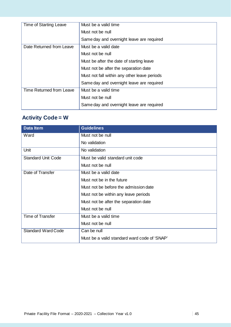| Time of Starting Leave   | Must be a valid time                         |
|--------------------------|----------------------------------------------|
|                          | Must not be null                             |
|                          | Same day and overnight leave are required    |
| Date Returned from Leave | Must be a valid date                         |
|                          | Must not be null                             |
|                          | Must be after the date of starting leave     |
|                          | Must not be after the separation date        |
|                          | Must not fall within any other leave periods |
|                          | Same day and overnight leave are required    |
| Time Returned from Leave | Must be a valid time                         |
|                          | Must not be null                             |
|                          | Same day and overnight leave are required    |

# **Activity Code = W**

| <b>Data Item</b>          | <b>Guidelines</b>                            |
|---------------------------|----------------------------------------------|
| Ward                      | Must not be null                             |
|                           | No validation                                |
| Unit                      | No validation                                |
| <b>Standard Unit Code</b> | Must be valid standard unit code             |
|                           | Must not be null                             |
| Date of Transfer          | Must be a valid date                         |
|                           | Must not be in the future                    |
|                           | Must not be before the admission date        |
|                           | Must not be within any leave periods         |
|                           | Must not be after the separation date        |
|                           | Must not be null                             |
| <b>Time of Transfer</b>   | Must be a valid time                         |
|                           | Must not be null                             |
| <b>Standard Ward Code</b> | Can be null                                  |
|                           | Must be a valid standard ward code of 'SNAP' |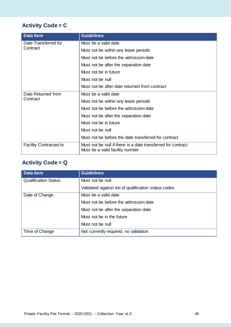# **Activity Code = C**

| <b>Data Item</b>              | <b>Guidelines</b>                                                                               |
|-------------------------------|-------------------------------------------------------------------------------------------------|
| Date Transferred for          | Must be a valid date                                                                            |
| Contract                      | Must not be within any leave periods                                                            |
|                               | Must not be before the admission date                                                           |
|                               | Must not be after the separation date                                                           |
|                               | Must not be in future                                                                           |
|                               | Must not be null                                                                                |
|                               | Must not be after date returned from contract                                                   |
| Date Returned from            | Must be a valid date                                                                            |
| Contract                      | Must not be within any leave periods                                                            |
|                               | Must not be before the admission date                                                           |
|                               | Must not be after the separation date                                                           |
|                               | Must not be in future                                                                           |
|                               | Must not be null                                                                                |
|                               | Must not be before the date transferred for contract                                            |
| <b>Facility Contracted to</b> | Must not be null if there is a date transferred for contract<br>Must be a valid facility number |

## **Activity Code = Q**

| <b>Data Item</b>            | <b>Guidelines</b>                                    |
|-----------------------------|------------------------------------------------------|
| <b>Qualification Status</b> | Must not be null                                     |
|                             | Validated against list of qualification status codes |
| Date of Change              | Must be a valid date                                 |
|                             | Must not be before the admission date                |
|                             | Must not be after the separation date                |
|                             | Must not be in the future                            |
|                             | Must not be null                                     |
| Time of Change              | Not currently required, no validation                |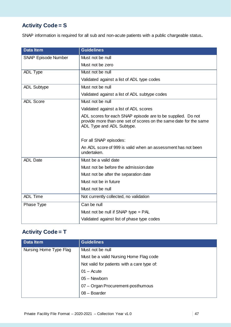# **Activity Code = S**

SNAP information is required for all sub and non-acute patients with a public chargeable status**.**

| <b>Data Item</b>           | <b>Guidelines</b>                                                                                                                                             |
|----------------------------|---------------------------------------------------------------------------------------------------------------------------------------------------------------|
| <b>SNAP Episode Number</b> | Must not be null                                                                                                                                              |
|                            | Must not be zero                                                                                                                                              |
| <b>ADL Type</b>            | Must not be null                                                                                                                                              |
|                            | Validated against a list of ADL type codes                                                                                                                    |
| <b>ADL Subtype</b>         | Must not be null                                                                                                                                              |
|                            | Validated against a list of ADL subtype codes                                                                                                                 |
| <b>ADL Score</b>           | Must not be null                                                                                                                                              |
|                            | Validated against a list of ADL scores                                                                                                                        |
|                            | ADL scores for each SNAP episode are to be supplied. Do not<br>provide more than one set of scores on the same date for the same<br>ADL Type and ADL Subtype. |
|                            | For all SNAP episodes:                                                                                                                                        |
|                            | An ADL score of 999 is valid when an assessment has not been<br>undertaken.                                                                                   |
| <b>ADL Date</b>            | Must be a valid date                                                                                                                                          |
|                            | Must not be before the admission date                                                                                                                         |
|                            | Must not be after the separation date                                                                                                                         |
|                            | Must not be in future                                                                                                                                         |
|                            | Must not be null                                                                                                                                              |
| <b>ADL Time</b>            | Not currently collected, no validation                                                                                                                        |
| Phase Type                 | Can be null                                                                                                                                                   |
|                            | Must not be null if SNAP type = PAL                                                                                                                           |
|                            | Validated against list of phase type codes                                                                                                                    |

### **Activity Code = T**

| <b>Data Item</b>       | <b>Guidelines</b>                           |
|------------------------|---------------------------------------------|
| Nursing Home Type Flag | Must not be null                            |
|                        | Must be a valid Nursing Home Flag code      |
|                        | Not valid for patients with a care type of: |
|                        | $01 -$ Acute                                |
|                        | 05 - Newborn                                |
|                        | 07 - Organ Procurement-posthumous           |
|                        | $08 - Boarder$                              |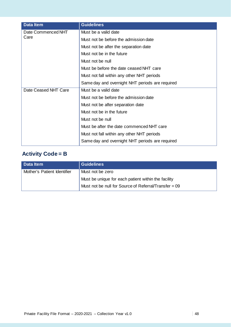| <b>Data Item</b>     | <b>Guidelines</b>                               |
|----------------------|-------------------------------------------------|
| Date Commenced NHT   | Must be a valid date                            |
| Care                 | Must not be before the admission date           |
|                      | Must not be after the separation date           |
|                      | Must not be in the future                       |
|                      | Must not be null                                |
|                      | Must be before the date ceased NHT care         |
|                      | Must not fall within any other NHT periods      |
|                      | Same day and overnight NHT periods are required |
| Date Ceased NHT Care | Must be a valid date                            |
|                      | Must not be before the admission date           |
|                      | Must not be after separation date               |
|                      | Must not be in the future                       |
|                      | Must not be null                                |
|                      | Must be after the date commenced NHT care       |
|                      | Must not fall within any other NHT periods      |
|                      | Same day and overnight NHT periods are required |

# **Activity Code = B**

| <b>Data Item</b>            | <b>Guidelines</b>                                       |
|-----------------------------|---------------------------------------------------------|
| Mother's Patient Identifier | Must not be zero                                        |
|                             | Must be unique for each patient within the facility     |
|                             | Must not be null for Source of Referral/Transfer = $09$ |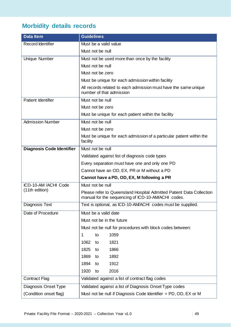# **Morbidity details records**

| <b>Data Item</b>                 | <b>Guidelines</b>                                                                                                          |
|----------------------------------|----------------------------------------------------------------------------------------------------------------------------|
| <b>Record Identifier</b>         | Must be a valid value                                                                                                      |
|                                  | Must not be null                                                                                                           |
| Unique Number                    | Must not be used more than once by the facility                                                                            |
|                                  | Must not be null                                                                                                           |
|                                  | Must not be zero                                                                                                           |
|                                  | Must be unique for each admission within facility                                                                          |
|                                  | All records related to each admission must have the same unique<br>number of that admission                                |
| <b>Patient Identifier</b>        | Must not be null                                                                                                           |
|                                  | Must not be zero                                                                                                           |
|                                  | Must be unique for each patient within the facility                                                                        |
| <b>Admission Number</b>          | Must not be null                                                                                                           |
|                                  | Must not be zero                                                                                                           |
|                                  | Must be unique for each admission of a particular patient within the<br>facility                                           |
| <b>Diagnosis Code Identifier</b> | Must not be null                                                                                                           |
|                                  | Validated against list of diagnosis code types                                                                             |
|                                  | Every separation must have one and only one PD                                                                             |
|                                  | Cannot have an OD, EX, PR or M without a PD                                                                                |
|                                  | Cannot have a PD, OD, EX, M following a PR                                                                                 |
| ICD-10-AM /ACHI Code             | Must not be null                                                                                                           |
| (11th edition)                   | Please refer to Queensland Hospital Admitted Patient Data Collection<br>manual for the sequencing of ICD-10-AM/ACHI codes. |
| <b>Diagnosis Text</b>            | Text is optional, as ICD-10-AM/ACHI codes must be supplied.                                                                |
| Date of Procedure                | Must be a valid date                                                                                                       |
|                                  | Must not be in the future                                                                                                  |
|                                  | Must not be null for procedures with block codes between:                                                                  |
|                                  | 1059<br>1<br>to                                                                                                            |
|                                  | 1062<br>1821<br>to                                                                                                         |
|                                  | 1825<br>1866<br>to                                                                                                         |
|                                  | 1869<br>1892<br>to                                                                                                         |
|                                  | 1894<br>1912<br>to                                                                                                         |
|                                  | 1920<br>2016<br>to                                                                                                         |
| <b>Contract Flag</b>             | Validated against a list of contract flag codes                                                                            |
| Diagnosis Onset Type             | Validated against a list of Diagnosis Onset Type codes                                                                     |
| (Condition onset flag)           | Must not be null if Diagnosis Code Identifier = PD, OD, EX or M                                                            |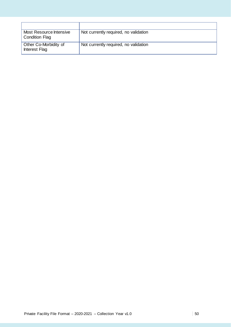| Most Resource Intensive<br><b>Condition Flag</b> | Not currently required, no validation |
|--------------------------------------------------|---------------------------------------|
| Other Co-Morbidity of<br>Interest Flag           | Not currently required, no validation |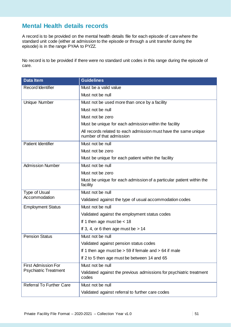## **Mental Health details records**

A record is to be provided on the mental health details file for each episode of care where the standard unit code (either at admission to the episode or through a unit transfer during the episode) is in the range PYAA to PYZZ.

No record is to be provided if there were no standard unit codes in this range during the episode of care.

| <b>Data Item</b>                                           | <b>Guidelines</b>                                                                           |
|------------------------------------------------------------|---------------------------------------------------------------------------------------------|
| <b>Record Identifier</b>                                   | Must be a valid value                                                                       |
|                                                            | Must not be null                                                                            |
| Unique Number                                              | Must not be used more than once by a facility                                               |
|                                                            | Must not be null                                                                            |
|                                                            | Must not be zero                                                                            |
|                                                            | Must be unique for each admission within the facility                                       |
|                                                            | All records related to each admission must have the same unique<br>number of that admission |
| Patient Identifier                                         | Must not be null                                                                            |
|                                                            | Must not be zero                                                                            |
|                                                            | Must be unique for each patient within the facility                                         |
| <b>Admission Number</b>                                    | Must not be null                                                                            |
|                                                            | Must not be zero                                                                            |
|                                                            | Must be unique for each admission of a particular patient within the<br>facility            |
| Type of Usual                                              | Must not be null                                                                            |
| Accommodation                                              | Validated against the type of usual accommodation codes                                     |
| <b>Employment Status</b>                                   | Must not be null                                                                            |
|                                                            | Validated against the employment status codes                                               |
|                                                            | If 1 then age must be $<$ 18                                                                |
|                                                            | If 3, 4, or 6 then age must be $> 14$                                                       |
| <b>Pension Status</b>                                      | Must not be null                                                                            |
|                                                            | Validated against pension status codes                                                      |
|                                                            | If 1 then age must be $> 59$ if female and $> 64$ if male                                   |
|                                                            | If 2 to 5 then age must be between 14 and 65                                                |
| <b>First Admission For</b><br><b>Psychiatric Treatment</b> | Must not be null                                                                            |
|                                                            | Validated against the previous admissions for psychiatric treatment<br>codes                |
| <b>Referral To Further Care</b>                            | Must not be null                                                                            |
|                                                            | Validated against referral to further care codes                                            |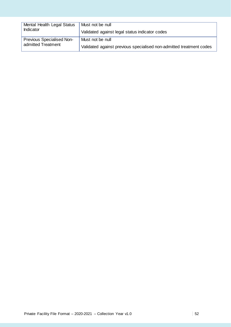| Mental Health Legal Status       | Must not be null                                                    |
|----------------------------------|---------------------------------------------------------------------|
| Indicator                        | Validated against legal status indicator codes                      |
| <b>Previous Specialised Non-</b> | Must not be null                                                    |
| admitted Treatment               | Validated against previous specialised non-admitted treatment codes |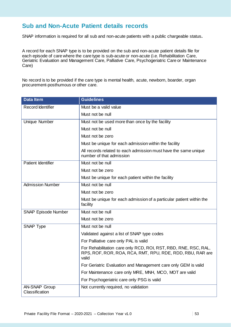## **Sub and Non-Acute Patient details records**

SNAP information is required for all sub and non-acute patients with a public chargeable status**.**

A record for each SNAP type is to be provided on the sub and non-acute patient details file for each episode of care where the care type is sub-acute or non-acute (i.e. Rehabilitation Care, Geriatric Evaluation and Management Care, Palliative Care, Psychogeriatric Care or Maintenance Care)

No record is to be provided if the care type is mental health, acute, newborn, boarder, organ procurement-posthumous or other care.

| <b>Data Item</b>           | <b>Guidelines</b>                                                                                                                     |
|----------------------------|---------------------------------------------------------------------------------------------------------------------------------------|
| Record Identifier          | Must be a valid value                                                                                                                 |
|                            | Must not be null                                                                                                                      |
| <b>Unique Number</b>       | Must not be used more than once by the facility                                                                                       |
|                            | Must not be null                                                                                                                      |
|                            | Must not be zero                                                                                                                      |
|                            | Must be unique for each admission within the facility                                                                                 |
|                            | All records related to each admission must have the same unique<br>number of that admission                                           |
| <b>Patient Identifier</b>  | Must not be null                                                                                                                      |
|                            | Must not be zero                                                                                                                      |
|                            | Must be unique for each patient within the facility                                                                                   |
| <b>Admission Number</b>    | Must not be null                                                                                                                      |
|                            | Must not be zero                                                                                                                      |
|                            | Must be unique for each admission of a particular patient within the<br>facility                                                      |
| <b>SNAP Episode Number</b> | Must not be null                                                                                                                      |
|                            | Must not be zero                                                                                                                      |
| <b>SNAP Type</b>           | Must not be null                                                                                                                      |
|                            | Validated against a list of SNAP type codes                                                                                           |
|                            | For Palliative care only PAL is valid                                                                                                 |
|                            | For Rehabilitation care only RCD, ROI, RST, RBD, RNE, RSC, RAL,<br>RPS, ROF, ROR, ROA, RCA, RMT, RPU, RDE, RDD, RBU, RAR are<br>valid |
|                            | For Geriatric Evaluation and Management care only GEM is valid                                                                        |
|                            | For Maintenance care only MRE, MNH, MCO, MOT are valid                                                                                |
|                            | For Psychogeriatric care only PSG is valid                                                                                            |
| <b>AN-SNAP Group</b>       | Not currently required, no validation                                                                                                 |
| Classification             |                                                                                                                                       |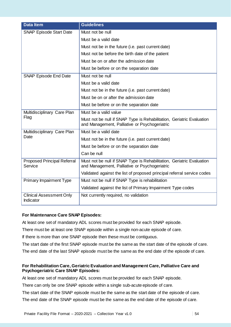| <b>Data Item</b>                              | <b>Guidelines</b>                                                                                                      |
|-----------------------------------------------|------------------------------------------------------------------------------------------------------------------------|
| <b>SNAP Episode Start Date</b>                | Must not be null                                                                                                       |
|                                               | Must be a valid date                                                                                                   |
|                                               | Must not be in the future (i.e. past current date)                                                                     |
|                                               | Must not be before the birth date of the patient                                                                       |
|                                               | Must be on or after the admission date                                                                                 |
|                                               | Must be before or on the separation date                                                                               |
| <b>SNAP Episode End Date</b>                  | Must not be null                                                                                                       |
|                                               | Must be a valid date                                                                                                   |
|                                               | Must not be in the future (i.e. past current date)                                                                     |
|                                               | Must be on or after the admission date                                                                                 |
|                                               | Must be before or on the separation date                                                                               |
| Multidisciplinary Care Plan                   | Must be a valid value                                                                                                  |
| Flag                                          | Must not be null if SNAP Type is Rehabilitation, Geriatric Evaluation<br>and Management, Palliative or Psychogeriatric |
| Multidisciplinary Care Plan                   | Must be a valid date                                                                                                   |
| Date                                          | Must not be in the future (i.e. past current date)                                                                     |
|                                               | Must be before or on the separation date                                                                               |
|                                               | Can be null                                                                                                            |
| <b>Proposed Principal Referral</b><br>Service | Must not be null if SNAP Type is Rehabilitation, Geriatric Evaluation<br>and Management, Palliative or Psychogeriatric |
|                                               | Validated against the list of proposed principal referral service codes                                                |
| <b>Primary Impairment Type</b>                | Must not be null if SNAP Type is rehabilitation                                                                        |
|                                               | Validated against the list of Primary Impairment Type codes                                                            |
| <b>Clinical Assessment Only</b><br>Indicator  | Not currently required, no validation                                                                                  |

### **For Maintenance Care SNAP Episodes:**

At least one set of mandatory ADL scores must be provided for each SNAP episode.

There must be at least one SNAP episode within a single non-acute episode of care.

If there is more than one SNAP episode then these must be contiguous.

The start date of the first SNAP episode must be the same as the start date of the episode of care.

The end date of the last SNAP episode must be the same as the end date of the episode of care.

### **For Rehabilitation Care, Geriatric Evaluation and Management Care, Palliative Care and Psychogeriatric Care SNAP Episodes:**

At least one set of mandatory ADL scores must be provided for each SNAP episode.

There can only be one SNAP episode within a single sub-acute episode of care.

The start date of the SNAP episode must be the same as the start date of the episode of care. The end date of the SNAP episode must be the same as the end date of the episode of care.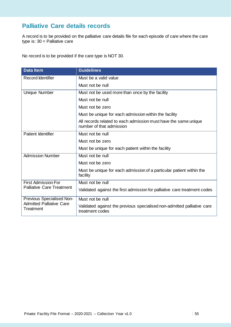## **Palliative Care details records**

A record is to be provided on the palliative care details file for each episode of care where the care type is: 30 = Palliative care

No record is to be provided if the care type is NOT 30.

| <b>Data Item</b>                                                          | <b>Guidelines</b>                                                                           |
|---------------------------------------------------------------------------|---------------------------------------------------------------------------------------------|
| <b>Record Identifier</b>                                                  | Must be a valid value                                                                       |
|                                                                           | Must not be null                                                                            |
| Unique Number                                                             | Must not be used more than once by the facility                                             |
|                                                                           | Must not be null                                                                            |
|                                                                           | Must not be zero                                                                            |
|                                                                           | Must be unique for each admission within the facility                                       |
|                                                                           | All records related to each admission must have the same unique<br>number of that admission |
| Patient Identifier                                                        | Must not be null                                                                            |
|                                                                           | Must not be zero                                                                            |
|                                                                           | Must be unique for each patient within the facility                                         |
| <b>Admission Number</b>                                                   | Must not be null                                                                            |
|                                                                           | Must not be zero                                                                            |
|                                                                           | Must be unique for each admission of a particular patient within the<br>facility            |
| <b>First Admission For</b><br><b>Palliative Care Treatment</b>            | Must not be null                                                                            |
|                                                                           | Validated against the first admission for palliative care treatment codes                   |
| Previous Specialised Non-<br><b>Admitted Palliative Care</b><br>Treatment | Must not be null                                                                            |
|                                                                           | Validated against the previous specialised non-admitted palliative care<br>treatment codes  |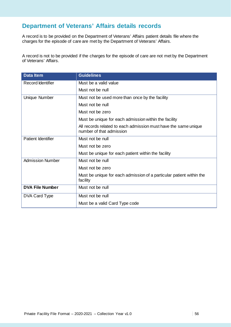## **Department of Veterans' Affairs details records**

A record is to be provided on the Department of Veterans' Affairs patient details file where the charges for the episode of care are met by the Department of Veterans' Affairs.

A record is not to be provided if the charges for the episode of care are not met by the Department of Veterans' Affairs.

| <b>Data Item</b>          | <b>Guidelines</b>                                                                           |
|---------------------------|---------------------------------------------------------------------------------------------|
| <b>Record Identifier</b>  | Must be a valid value                                                                       |
|                           | Must not be null                                                                            |
| Unique Number             | Must not be used more than once by the facility                                             |
|                           | Must not be null                                                                            |
|                           | Must not be zero                                                                            |
|                           | Must be unique for each admission within the facility                                       |
|                           | All records related to each admission must have the same unique<br>number of that admission |
| <b>Patient Identifier</b> | Must not be null                                                                            |
|                           | Must not be zero                                                                            |
|                           | Must be unique for each patient within the facility                                         |
| <b>Admission Number</b>   | Must not be null                                                                            |
|                           | Must not be zero                                                                            |
|                           | Must be unique for each admission of a particular patient within the<br>facility            |
| <b>DVA File Number</b>    | Must not be null                                                                            |
| DVA Card Type             | Must not be null                                                                            |
|                           | Must be a valid Card Type code                                                              |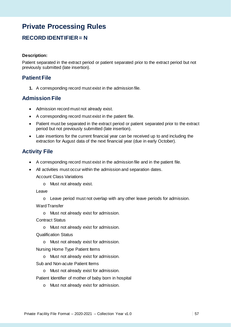# **Private Processing Rules**

## **RECORD IDENTIFIER = N**

#### **Description:**

Patient separated in the extract period or patient separated prior to the extract period but not previously submitted (late insertion).

### **Patient File**

**1.** A corresponding record must exist in the admission file.

### **Admission File**

- Admission record must not already exist.
- A corresponding record must exist in the patient file.
- Patient must be separated in the extract period or patient separated prior to the extract period but not previously submitted (late insertion).
- Late insertions for the current financial year can be received up to and including the extraction for August data of the next financial year (due in early October).

### **Activity File**

- A corresponding record must exist in the admission file and in the patient file.
- All activities must occur within the admission and separation dates.

Account Class Variations

o Must not already exist.

Leave

o Leave period must not overlap with any other leave periods for admission.

Ward Transfer

o Must not already exist for admission.

Contract Status

o Must not already exist for admission.

Qualification Status

- o Must not already exist for admission.
- Nursing Home Type Patient Items
	- o Must not already exist for admission.
- Sub and Non-acute Patient Items
	- o Must not already exist for admission.

Patient Identifier of mother of baby born in hospital

o Must not already exist for admission.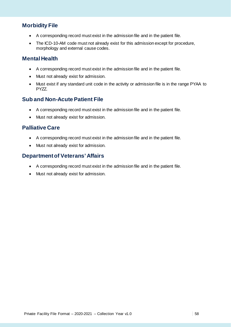### **Morbidity File**

- A corresponding record must exist in the admission file and in the patient file.
- The ICD-10-AM code must not already exist for this admission except for procedure, morphology and external cause codes.

### **Mental Health**

- A corresponding record must exist in the admission file and in the patient file.
- Must not already exist for admission.
- Must exist if any standard unit code in the activity or admission file is in the range PYAA to PYZZ.

### **Sub and Non-Acute Patient File**

- A corresponding record must exist in the admission file and in the patient file.
- Must not already exist for admission.

### **Palliative Care**

- A corresponding record must exist in the admission file and in the patient file.
- Must not already exist for admission.

### **Department of Veterans' Affairs**

- A corresponding record must exist in the admission file and in the patient file.
- Must not already exist for admission.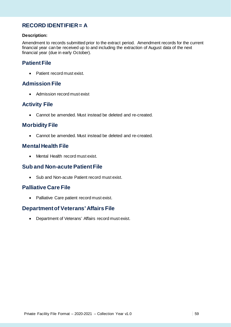## **RECORD IDENTIFIER = A**

#### **Description:**

Amendment to records submitted prior to the extract period. Amendment records for the current financial year can be received up to and including the extraction of August data of the next financial year (due in early October).

### **Patient File**

• Patient record must exist.

### **Admission File**

• Admission record must exist

### **Activity File**

• Cannot be amended. Must instead be deleted and re-created.

### **Morbidity File**

• Cannot be amended. Must instead be deleted and re-created.

### **Mental Health File**

• Mental Health record must exist.

### **Sub and Non-acute Patient File**

• Sub and Non-acute Patient record must exist.

### **Palliative Care File**

• Palliative Care patient record must exist.

### **Department of Veterans' Affairs File**

• Department of Veterans' Affairs record must exist.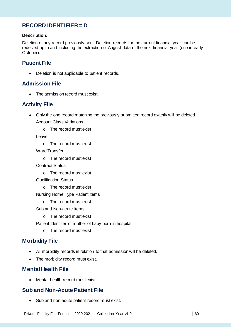## **RECORD IDENTIFIER = D**

### **Description:**

Deletion of any record previously sent. Deletion records for the current financial year can be received up to and including the extraction of August data of the next financial year (due in early October).

### **Patient File**

• Deletion is not applicable to patient records.

### **Admission File**

• The admission record must exist.

### **Activity File**

- Only the one record matching the previously submitted record exactly will be deleted. Account Class Variations
	- o The record must exist

Leave

- o The record must exist
- Ward Transfer
	- o The record must exist

Contract Status

- o The record must exist
- Qualification Status
	- o The record must exist

Nursing Home Type Patient Items

o The record must exist

Sub and Non-acute Items

o The record must exist

Patient Identifier of mother of baby born in hospital

o The record must exist

### **Morbidity File**

- All morbidity records in relation to that admission will be deleted.
- The morbidity record must exist.

### **Mental Health File**

• Mental health record must exist.

## **Sub and Non-Acute Patient File**

• Sub and non-acute patient record must exist.